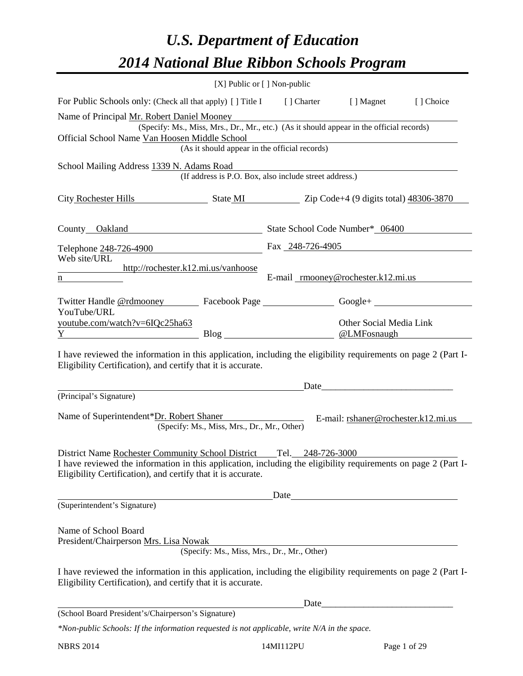# *U.S. Department of Education 2014 National Blue Ribbon Schools Program*

|                                                                                                                                                                                                                                          | [X] Public or [] Non-public                 |                                                        |                                        |           |  |  |  |  |  |
|------------------------------------------------------------------------------------------------------------------------------------------------------------------------------------------------------------------------------------------|---------------------------------------------|--------------------------------------------------------|----------------------------------------|-----------|--|--|--|--|--|
| For Public Schools only: (Check all that apply) [] Title I [] Charter [] Magnet                                                                                                                                                          |                                             |                                                        |                                        | [] Choice |  |  |  |  |  |
| Name of Principal Mr. Robert Daniel Mooney<br>(Specify: Ms., Miss, Mrs., Dr., Mr., etc.) (As it should appear in the official records)<br>Official School Name Van Hoosen Middle School<br>(As it should appear in the official records) |                                             |                                                        |                                        |           |  |  |  |  |  |
| School Mailing Address 1339 N. Adams Road                                                                                                                                                                                                |                                             | (If address is P.O. Box, also include street address.) |                                        |           |  |  |  |  |  |
| City Rochester Hills State MI Zip Code+4 (9 digits total) 48306-3870                                                                                                                                                                     |                                             |                                                        |                                        |           |  |  |  |  |  |
| County Oakland State School Code Number* 06400                                                                                                                                                                                           |                                             |                                                        |                                        |           |  |  |  |  |  |
| Telephone 248-726-4900                                                                                                                                                                                                                   |                                             | Fax 248-726-4905                                       |                                        |           |  |  |  |  |  |
| Web site/URL<br>http://rochester.k12.mi.us/vanhoose<br>$\underline{n}$                                                                                                                                                                   |                                             | E-mail mooney@rochester.k12.mi.us                      |                                        |           |  |  |  |  |  |
| Twitter Handle <u>@rdmooney</u> Facebook Page ___________________________Google+                                                                                                                                                         |                                             |                                                        |                                        |           |  |  |  |  |  |
| YouTube/URL<br>youtube.com/watch?v=6IQc25ha63<br>Y                                                                                                                                                                                       |                                             |                                                        | Other Social Media Link<br>@LMFosnaugh |           |  |  |  |  |  |
| I have reviewed the information in this application, including the eligibility requirements on page 2 (Part I-<br>Eligibility Certification), and certify that it is accurate.                                                           |                                             |                                                        |                                        |           |  |  |  |  |  |
| (Principal's Signature)                                                                                                                                                                                                                  |                                             | Date                                                   |                                        |           |  |  |  |  |  |
| Name of Superintendent*Dr. Robert Shaner                                                                                                                                                                                                 | (Specify: Ms., Miss, Mrs., Dr., Mr., Other) |                                                        | E-mail: rshaner@rochester.k12.mi.us    |           |  |  |  |  |  |
| District Name Rochester Community School District<br>I have reviewed the information in this application, including the eligibility requirements on page 2 (Part I-<br>Eligibility Certification), and certify that it is accurate.      |                                             | Tel.<br>248-726-3000                                   |                                        |           |  |  |  |  |  |
| (Superintendent's Signature)                                                                                                                                                                                                             |                                             | Date                                                   |                                        |           |  |  |  |  |  |
| Name of School Board<br>President/Chairperson Mrs. Lisa Nowak<br>I have reviewed the information in this application, including the eligibility requirements on page 2 (Part I-                                                          |                                             | (Specify: Ms., Miss, Mrs., Dr., Mr., Other)            |                                        |           |  |  |  |  |  |
| Eligibility Certification), and certify that it is accurate.                                                                                                                                                                             |                                             |                                                        |                                        |           |  |  |  |  |  |
|                                                                                                                                                                                                                                          |                                             | Date                                                   |                                        |           |  |  |  |  |  |
| (School Board President's/Chairperson's Signature)<br>*Non-public Schools: If the information requested is not applicable, write N/A in the space.                                                                                       |                                             |                                                        |                                        |           |  |  |  |  |  |
|                                                                                                                                                                                                                                          |                                             |                                                        |                                        |           |  |  |  |  |  |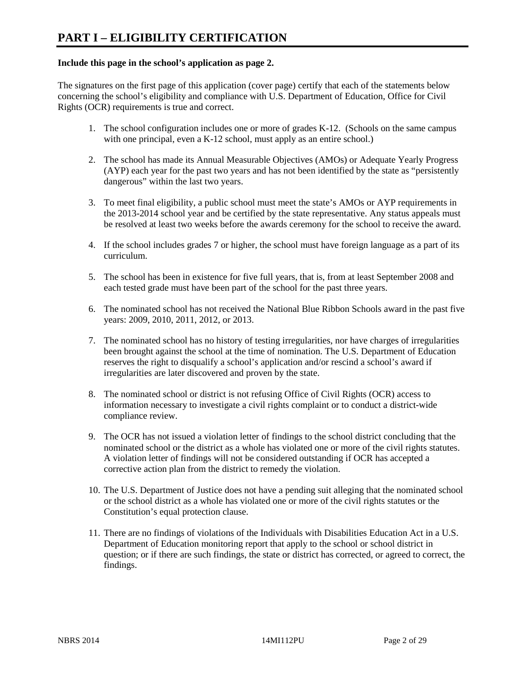## **Include this page in the school's application as page 2.**

The signatures on the first page of this application (cover page) certify that each of the statements below concerning the school's eligibility and compliance with U.S. Department of Education, Office for Civil Rights (OCR) requirements is true and correct.

- 1. The school configuration includes one or more of grades K-12. (Schools on the same campus with one principal, even a K-12 school, must apply as an entire school.)
- 2. The school has made its Annual Measurable Objectives (AMOs) or Adequate Yearly Progress (AYP) each year for the past two years and has not been identified by the state as "persistently dangerous" within the last two years.
- 3. To meet final eligibility, a public school must meet the state's AMOs or AYP requirements in the 2013-2014 school year and be certified by the state representative. Any status appeals must be resolved at least two weeks before the awards ceremony for the school to receive the award.
- 4. If the school includes grades 7 or higher, the school must have foreign language as a part of its curriculum.
- 5. The school has been in existence for five full years, that is, from at least September 2008 and each tested grade must have been part of the school for the past three years.
- 6. The nominated school has not received the National Blue Ribbon Schools award in the past five years: 2009, 2010, 2011, 2012, or 2013.
- 7. The nominated school has no history of testing irregularities, nor have charges of irregularities been brought against the school at the time of nomination. The U.S. Department of Education reserves the right to disqualify a school's application and/or rescind a school's award if irregularities are later discovered and proven by the state.
- 8. The nominated school or district is not refusing Office of Civil Rights (OCR) access to information necessary to investigate a civil rights complaint or to conduct a district-wide compliance review.
- 9. The OCR has not issued a violation letter of findings to the school district concluding that the nominated school or the district as a whole has violated one or more of the civil rights statutes. A violation letter of findings will not be considered outstanding if OCR has accepted a corrective action plan from the district to remedy the violation.
- 10. The U.S. Department of Justice does not have a pending suit alleging that the nominated school or the school district as a whole has violated one or more of the civil rights statutes or the Constitution's equal protection clause.
- 11. There are no findings of violations of the Individuals with Disabilities Education Act in a U.S. Department of Education monitoring report that apply to the school or school district in question; or if there are such findings, the state or district has corrected, or agreed to correct, the findings.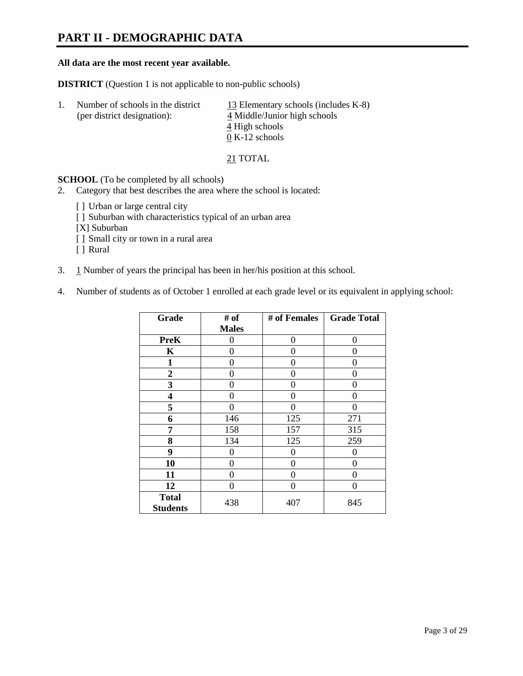# **PART II - DEMOGRAPHIC DATA**

#### **All data are the most recent year available.**

**DISTRICT** (Question 1 is not applicable to non-public schools)

| Number of schools in the district<br>(per district designation): | 13 Elementary schools (includes K-8)<br>4 Middle/Junior high schools |  |
|------------------------------------------------------------------|----------------------------------------------------------------------|--|
|                                                                  | 4 High schools                                                       |  |
|                                                                  | $0 K-12$ schools                                                     |  |

21 TOTAL

**SCHOOL** (To be completed by all schools)

- 2. Category that best describes the area where the school is located:
	- [] Urban or large central city
	- [ ] Suburban with characteristics typical of an urban area
	- [X] Suburban
	- [ ] Small city or town in a rural area
	- [ ] Rural
- 3. 1 Number of years the principal has been in her/his position at this school.
- 4. Number of students as of October 1 enrolled at each grade level or its equivalent in applying school:

| Grade                           | # of         | # of Females | <b>Grade Total</b> |
|---------------------------------|--------------|--------------|--------------------|
|                                 | <b>Males</b> |              |                    |
| <b>PreK</b>                     | 0            | $\theta$     | $\theta$           |
| K                               | 0            | 0            | 0                  |
| 1                               | 0            | 0            | 0                  |
| $\boldsymbol{2}$                | 0            | 0            | 0                  |
| 3                               | 0            | 0            | 0                  |
| 4                               | 0            | 0            | 0                  |
| 5                               | 0            | 0            | 0                  |
| 6                               | 146          | 125          | 271                |
| 7                               | 158          | 157          | 315                |
| 8                               | 134          | 125          | 259                |
| 9                               | 0            | $\theta$     | 0                  |
| 10                              | 0            | 0            | 0                  |
| 11                              | 0            | 0            | $\theta$           |
| 12                              | 0            | $\Omega$     | 0                  |
| <b>Total</b><br><b>Students</b> | 438          | 407          | 845                |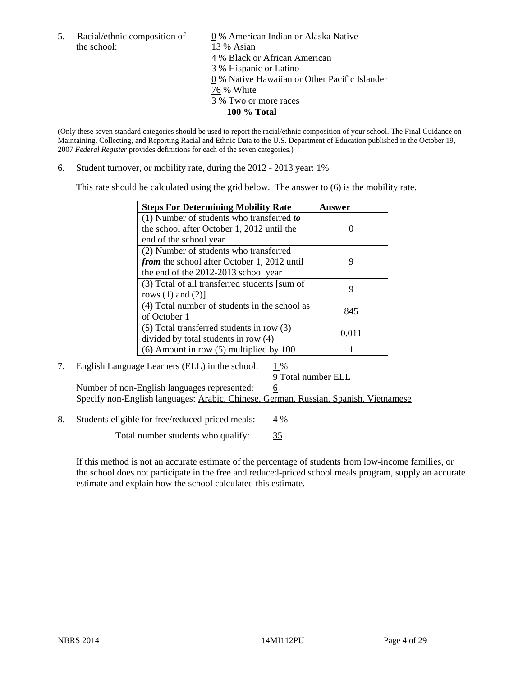the school: 13 % Asian

5. Racial/ethnic composition of  $\qquad \qquad \underline{0}$  % American Indian or Alaska Native 4 % Black or African American 3 % Hispanic or Latino 0 % Native Hawaiian or Other Pacific Islander 76 % White 3 % Two or more races **100 % Total** 

(Only these seven standard categories should be used to report the racial/ethnic composition of your school. The Final Guidance on Maintaining, Collecting, and Reporting Racial and Ethnic Data to the U.S. Department of Education published in the October 19, 2007 *Federal Register* provides definitions for each of the seven categories.)

6. Student turnover, or mobility rate, during the  $2012 - 2013$  year:  $1\%$ 

This rate should be calculated using the grid below. The answer to (6) is the mobility rate.

| <b>Steps For Determining Mobility Rate</b>         | Answer |
|----------------------------------------------------|--------|
| (1) Number of students who transferred to          |        |
| the school after October 1, 2012 until the         |        |
| end of the school year                             |        |
| (2) Number of students who transferred             |        |
| <i>from</i> the school after October 1, 2012 until | 9      |
| the end of the 2012-2013 school year               |        |
| (3) Total of all transferred students [sum of      | 9      |
| rows $(1)$ and $(2)$ ]                             |        |
| (4) Total number of students in the school as      | 845    |
| of October 1                                       |        |
| $(5)$ Total transferred students in row $(3)$      | 0.011  |
| divided by total students in row (4)               |        |
| $(6)$ Amount in row $(5)$ multiplied by 100        |        |

# 7. English Language Learners (ELL) in the school:  $1\%$

 9 Total number ELL Number of non-English languages represented: 6 Specify non-English languages: Arabic, Chinese, German, Russian, Spanish, Vietnamese

8. Students eligible for free/reduced-priced meals:  $4\%$ 

Total number students who qualify:  $\frac{35}{35}$ 

If this method is not an accurate estimate of the percentage of students from low-income families, or the school does not participate in the free and reduced-priced school meals program, supply an accurate estimate and explain how the school calculated this estimate.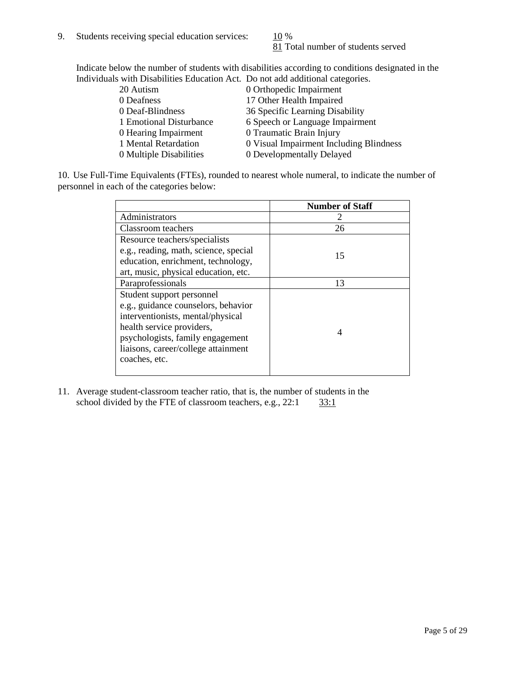81 Total number of students served

Indicate below the number of students with disabilities according to conditions designated in the Individuals with Disabilities Education Act. Do not add additional categories.

| 20 Autism               | 0 Orthopedic Impairment                 |
|-------------------------|-----------------------------------------|
| 0 Deafness              | 17 Other Health Impaired                |
| 0 Deaf-Blindness        | 36 Specific Learning Disability         |
| 1 Emotional Disturbance | 6 Speech or Language Impairment         |
| 0 Hearing Impairment    | 0 Traumatic Brain Injury                |
| 1 Mental Retardation    | 0 Visual Impairment Including Blindness |
| 0 Multiple Disabilities | 0 Developmentally Delayed               |
|                         |                                         |

10. Use Full-Time Equivalents (FTEs), rounded to nearest whole numeral, to indicate the number of personnel in each of the categories below:

|                                       | <b>Number of Staff</b> |
|---------------------------------------|------------------------|
| Administrators                        |                        |
| Classroom teachers                    | 26                     |
| Resource teachers/specialists         |                        |
| e.g., reading, math, science, special | 15                     |
| education, enrichment, technology,    |                        |
| art, music, physical education, etc.  |                        |
| Paraprofessionals                     | 13                     |
| Student support personnel             |                        |
| e.g., guidance counselors, behavior   |                        |
| interventionists, mental/physical     |                        |
| health service providers,             | 4                      |
| psychologists, family engagement      |                        |
| liaisons, career/college attainment   |                        |
| coaches, etc.                         |                        |
|                                       |                        |

11. Average student-classroom teacher ratio, that is, the number of students in the school divided by the FTE of classroom teachers, e.g.,  $22:1$   $33:1$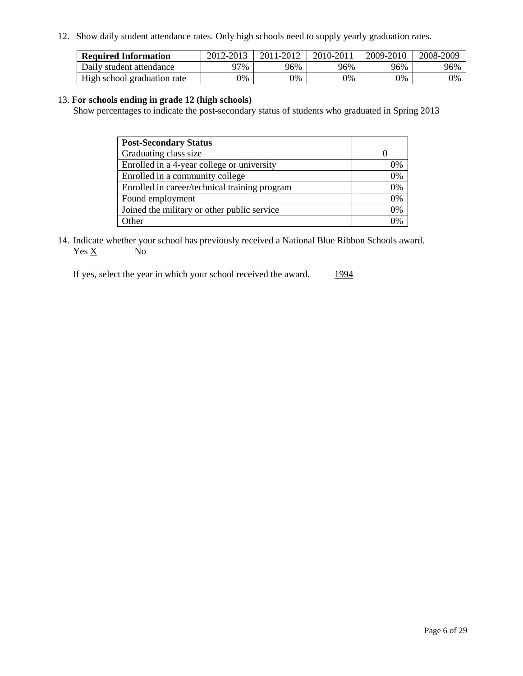12. Show daily student attendance rates. Only high schools need to supply yearly graduation rates.

| <b>Required Information</b> | 2012-2013     | 2011-2012 | 2010-2011 | 2009-2010 | 2008-2009 |
|-----------------------------|---------------|-----------|-----------|-----------|-----------|
| Daily student attendance    | 97%           | 96%       | 96%       | 96%       | 96%       |
| High school graduation rate | $\gamma_{\%}$ | 0%        | 0%        | 0%        | 0%        |

## 13. **For schools ending in grade 12 (high schools)**

Show percentages to indicate the post-secondary status of students who graduated in Spring 2013

| <b>Post-Secondary Status</b>                  |                |
|-----------------------------------------------|----------------|
| Graduating class size                         |                |
| Enrolled in a 4-year college or university    | 0%             |
| Enrolled in a community college               | 0%             |
| Enrolled in career/technical training program | 0%             |
| Found employment                              | 0%             |
| Joined the military or other public service   | 0%             |
| <b>Other</b>                                  | $\gamma_{0/2}$ |

14. Indicate whether your school has previously received a National Blue Ribbon Schools award.  $Yes \underline{X}$  No

If yes, select the year in which your school received the award. 1994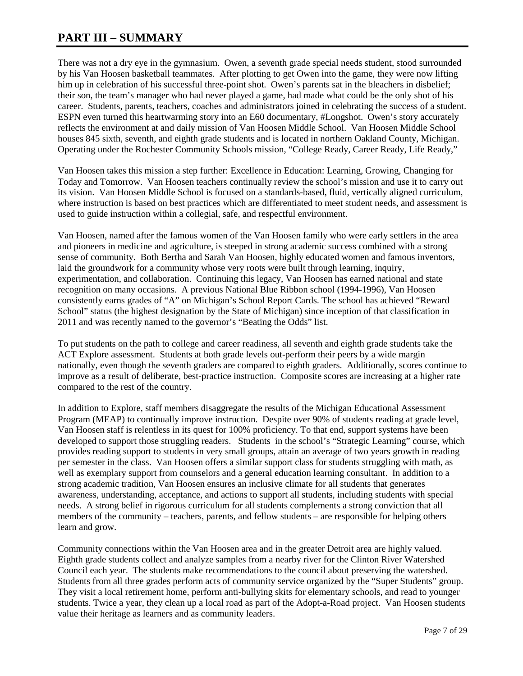# **PART III – SUMMARY**

There was not a dry eye in the gymnasium. Owen, a seventh grade special needs student, stood surrounded by his Van Hoosen basketball teammates. After plotting to get Owen into the game, they were now lifting him up in celebration of his successful three-point shot. Owen's parents sat in the bleachers in disbelief; their son, the team's manager who had never played a game, had made what could be the only shot of his career. Students, parents, teachers, coaches and administrators joined in celebrating the success of a student. ESPN even turned this heartwarming story into an E60 documentary, #Longshot. Owen's story accurately reflects the environment at and daily mission of Van Hoosen Middle School. Van Hoosen Middle School houses 845 sixth, seventh, and eighth grade students and is located in northern Oakland County, Michigan. Operating under the Rochester Community Schools mission, "College Ready, Career Ready, Life Ready,"

Van Hoosen takes this mission a step further: Excellence in Education: Learning, Growing, Changing for Today and Tomorrow. Van Hoosen teachers continually review the school's mission and use it to carry out its vision. Van Hoosen Middle School is focused on a standards-based, fluid, vertically aligned curriculum, where instruction is based on best practices which are differentiated to meet student needs, and assessment is used to guide instruction within a collegial, safe, and respectful environment.

Van Hoosen, named after the famous women of the Van Hoosen family who were early settlers in the area and pioneers in medicine and agriculture, is steeped in strong academic success combined with a strong sense of community. Both Bertha and Sarah Van Hoosen, highly educated women and famous inventors, laid the groundwork for a community whose very roots were built through learning, inquiry, experimentation, and collaboration. Continuing this legacy, Van Hoosen has earned national and state recognition on many occasions. A previous National Blue Ribbon school (1994-1996), Van Hoosen consistently earns grades of "A" on Michigan's School Report Cards. The school has achieved "Reward School" status (the highest designation by the State of Michigan) since inception of that classification in 2011 and was recently named to the governor's "Beating the Odds" list.

To put students on the path to college and career readiness, all seventh and eighth grade students take the ACT Explore assessment. Students at both grade levels out-perform their peers by a wide margin nationally, even though the seventh graders are compared to eighth graders. Additionally, scores continue to improve as a result of deliberate, best-practice instruction. Composite scores are increasing at a higher rate compared to the rest of the country.

In addition to Explore, staff members disaggregate the results of the Michigan Educational Assessment Program (MEAP) to continually improve instruction. Despite over 90% of students reading at grade level, Van Hoosen staff is relentless in its quest for 100% proficiency. To that end, support systems have been developed to support those struggling readers. Students in the school's "Strategic Learning" course, which provides reading support to students in very small groups, attain an average of two years growth in reading per semester in the class. Van Hoosen offers a similar support class for students struggling with math, as well as exemplary support from counselors and a general education learning consultant. In addition to a strong academic tradition, Van Hoosen ensures an inclusive climate for all students that generates awareness, understanding, acceptance, and actions to support all students, including students with special needs. A strong belief in rigorous curriculum for all students complements a strong conviction that all members of the community – teachers, parents, and fellow students – are responsible for helping others learn and grow.

Community connections within the Van Hoosen area and in the greater Detroit area are highly valued. Eighth grade students collect and analyze samples from a nearby river for the Clinton River Watershed Council each year. The students make recommendations to the council about preserving the watershed. Students from all three grades perform acts of community service organized by the "Super Students" group. They visit a local retirement home, perform anti-bullying skits for elementary schools, and read to younger students. Twice a year, they clean up a local road as part of the Adopt-a-Road project. Van Hoosen students value their heritage as learners and as community leaders.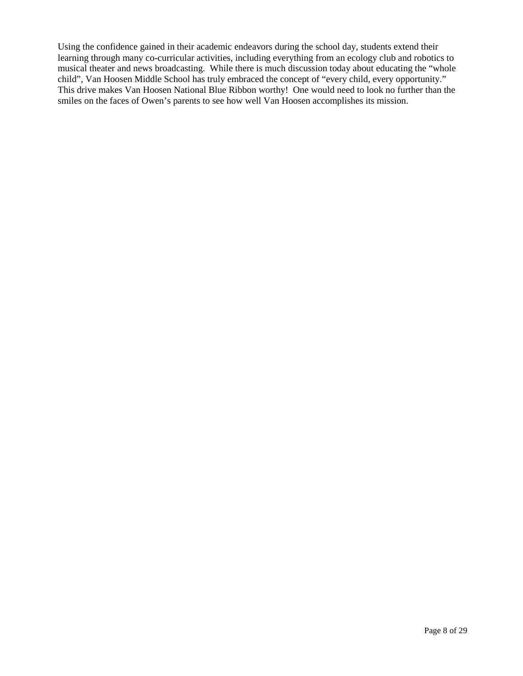Using the confidence gained in their academic endeavors during the school day, students extend their learning through many co-curricular activities, including everything from an ecology club and robotics to musical theater and news broadcasting. While there is much discussion today about educating the "whole child", Van Hoosen Middle School has truly embraced the concept of "every child, every opportunity." This drive makes Van Hoosen National Blue Ribbon worthy! One would need to look no further than the smiles on the faces of Owen's parents to see how well Van Hoosen accomplishes its mission.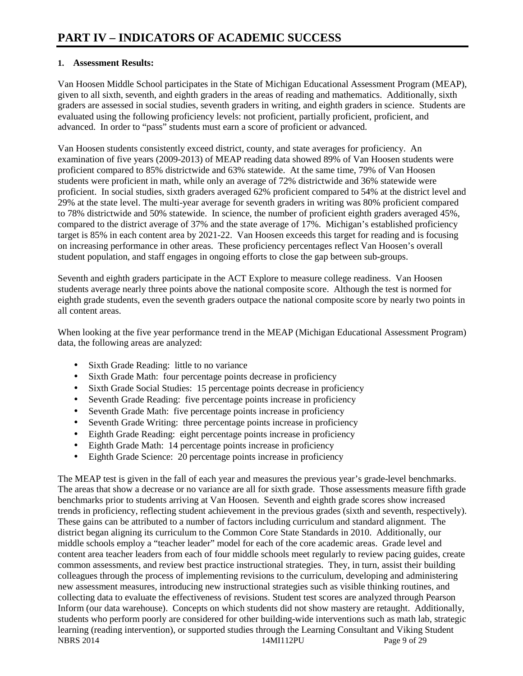# **1. Assessment Results:**

Van Hoosen Middle School participates in the State of Michigan Educational Assessment Program (MEAP), given to all sixth, seventh, and eighth graders in the areas of reading and mathematics. Additionally, sixth graders are assessed in social studies, seventh graders in writing, and eighth graders in science. Students are evaluated using the following proficiency levels: not proficient, partially proficient, proficient, and advanced. In order to "pass" students must earn a score of proficient or advanced.

Van Hoosen students consistently exceed district, county, and state averages for proficiency. An examination of five years (2009-2013) of MEAP reading data showed 89% of Van Hoosen students were proficient compared to 85% districtwide and 63% statewide. At the same time, 79% of Van Hoosen students were proficient in math, while only an average of 72% districtwide and 36% statewide were proficient. In social studies, sixth graders averaged 62% proficient compared to 54% at the district level and 29% at the state level. The multi-year average for seventh graders in writing was 80% proficient compared to 78% districtwide and 50% statewide. In science, the number of proficient eighth graders averaged 45%, compared to the district average of 37% and the state average of 17%. Michigan's established proficiency target is 85% in each content area by 2021-22. Van Hoosen exceeds this target for reading and is focusing on increasing performance in other areas. These proficiency percentages reflect Van Hoosen's overall student population, and staff engages in ongoing efforts to close the gap between sub-groups.

Seventh and eighth graders participate in the ACT Explore to measure college readiness. Van Hoosen students average nearly three points above the national composite score. Although the test is normed for eighth grade students, even the seventh graders outpace the national composite score by nearly two points in all content areas.

When looking at the five year performance trend in the MEAP (Michigan Educational Assessment Program) data, the following areas are analyzed:

- Sixth Grade Reading: little to no variance
- Sixth Grade Math: four percentage points decrease in proficiency
- Sixth Grade Social Studies: 15 percentage points decrease in proficiency
- Seventh Grade Reading: five percentage points increase in proficiency
- Seventh Grade Math: five percentage points increase in proficiency
- Seventh Grade Writing: three percentage points increase in proficiency
- Eighth Grade Reading: eight percentage points increase in proficiency
- Eighth Grade Math: 14 percentage points increase in proficiency
- Eighth Grade Science: 20 percentage points increase in proficiency

NBRS 2014 **14MI112PU** Page 9 of 29 The MEAP test is given in the fall of each year and measures the previous year's grade-level benchmarks. The areas that show a decrease or no variance are all for sixth grade. Those assessments measure fifth grade benchmarks prior to students arriving at Van Hoosen. Seventh and eighth grade scores show increased trends in proficiency, reflecting student achievement in the previous grades (sixth and seventh, respectively). These gains can be attributed to a number of factors including curriculum and standard alignment. The district began aligning its curriculum to the Common Core State Standards in 2010. Additionally, our middle schools employ a "teacher leader" model for each of the core academic areas. Grade level and content area teacher leaders from each of four middle schools meet regularly to review pacing guides, create common assessments, and review best practice instructional strategies. They, in turn, assist their building colleagues through the process of implementing revisions to the curriculum, developing and administering new assessment measures, introducing new instructional strategies such as visible thinking routines, and collecting data to evaluate the effectiveness of revisions. Student test scores are analyzed through Pearson Inform (our data warehouse). Concepts on which students did not show mastery are retaught. Additionally, students who perform poorly are considered for other building-wide interventions such as math lab, strategic learning (reading intervention), or supported studies through the Learning Consultant and Viking Student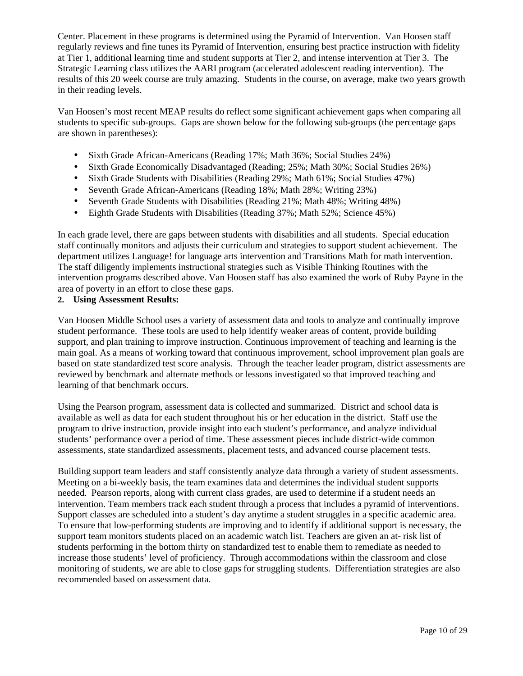Center. Placement in these programs is determined using the Pyramid of Intervention. Van Hoosen staff regularly reviews and fine tunes its Pyramid of Intervention, ensuring best practice instruction with fidelity at Tier 1, additional learning time and student supports at Tier 2, and intense intervention at Tier 3. The Strategic Learning class utilizes the AARI program (accelerated adolescent reading intervention). The results of this 20 week course are truly amazing. Students in the course, on average, make two years growth in their reading levels.

Van Hoosen's most recent MEAP results do reflect some significant achievement gaps when comparing all students to specific sub-groups. Gaps are shown below for the following sub-groups (the percentage gaps are shown in parentheses):

- Sixth Grade African-Americans (Reading 17%; Math 36%; Social Studies 24%)
- Sixth Grade Economically Disadvantaged (Reading; 25%; Math 30%; Social Studies 26%)
- Sixth Grade Students with Disabilities (Reading 29%; Math 61%; Social Studies 47%)
- Seventh Grade African-Americans (Reading 18%; Math 28%; Writing 23%)
- Seventh Grade Students with Disabilities (Reading 21%; Math 48%; Writing 48%)
- Eighth Grade Students with Disabilities (Reading 37%; Math 52%; Science 45%)

In each grade level, there are gaps between students with disabilities and all students. Special education staff continually monitors and adjusts their curriculum and strategies to support student achievement. The department utilizes Language! for language arts intervention and Transitions Math for math intervention. The staff diligently implements instructional strategies such as Visible Thinking Routines with the intervention programs described above. Van Hoosen staff has also examined the work of Ruby Payne in the area of poverty in an effort to close these gaps.

### **2. Using Assessment Results:**

Van Hoosen Middle School uses a variety of assessment data and tools to analyze and continually improve student performance. These tools are used to help identify weaker areas of content, provide building support, and plan training to improve instruction. Continuous improvement of teaching and learning is the main goal. As a means of working toward that continuous improvement, school improvement plan goals are based on state standardized test score analysis. Through the teacher leader program, district assessments are reviewed by benchmark and alternate methods or lessons investigated so that improved teaching and learning of that benchmark occurs.

Using the Pearson program, assessment data is collected and summarized. District and school data is available as well as data for each student throughout his or her education in the district. Staff use the program to drive instruction, provide insight into each student's performance, and analyze individual students' performance over a period of time. These assessment pieces include district-wide common assessments, state standardized assessments, placement tests, and advanced course placement tests.

Building support team leaders and staff consistently analyze data through a variety of student assessments. Meeting on a bi-weekly basis, the team examines data and determines the individual student supports needed. Pearson reports, along with current class grades, are used to determine if a student needs an intervention. Team members track each student through a process that includes a pyramid of interventions. Support classes are scheduled into a student's day anytime a student struggles in a specific academic area. To ensure that low-performing students are improving and to identify if additional support is necessary, the support team monitors students placed on an academic watch list. Teachers are given an at- risk list of students performing in the bottom thirty on standardized test to enable them to remediate as needed to increase those students' level of proficiency. Through accommodations within the classroom and close monitoring of students, we are able to close gaps for struggling students. Differentiation strategies are also recommended based on assessment data.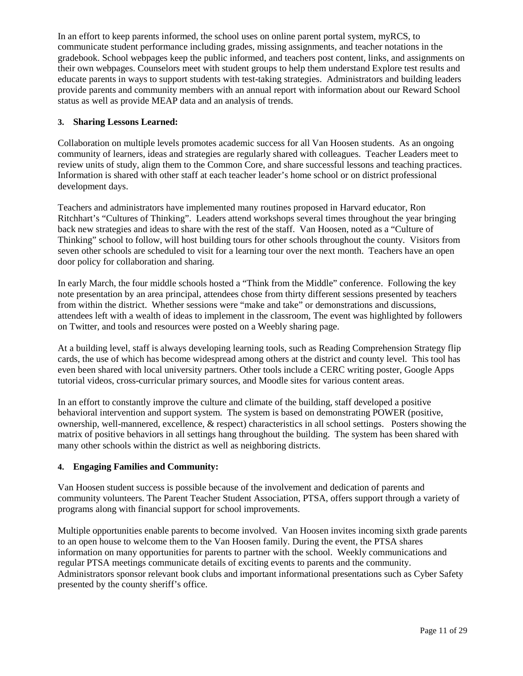In an effort to keep parents informed, the school uses on online parent portal system, myRCS, to communicate student performance including grades, missing assignments, and teacher notations in the gradebook. School webpages keep the public informed, and teachers post content, links, and assignments on their own webpages. Counselors meet with student groups to help them understand Explore test results and educate parents in ways to support students with test-taking strategies. Administrators and building leaders provide parents and community members with an annual report with information about our Reward School status as well as provide MEAP data and an analysis of trends.

## **3. Sharing Lessons Learned:**

Collaboration on multiple levels promotes academic success for all Van Hoosen students. As an ongoing community of learners, ideas and strategies are regularly shared with colleagues. Teacher Leaders meet to review units of study, align them to the Common Core, and share successful lessons and teaching practices. Information is shared with other staff at each teacher leader's home school or on district professional development days.

Teachers and administrators have implemented many routines proposed in Harvard educator, Ron Ritchhart's "Cultures of Thinking". Leaders attend workshops several times throughout the year bringing back new strategies and ideas to share with the rest of the staff. Van Hoosen, noted as a "Culture of Thinking" school to follow, will host building tours for other schools throughout the county. Visitors from seven other schools are scheduled to visit for a learning tour over the next month. Teachers have an open door policy for collaboration and sharing.

In early March, the four middle schools hosted a "Think from the Middle" conference. Following the key note presentation by an area principal, attendees chose from thirty different sessions presented by teachers from within the district. Whether sessions were "make and take" or demonstrations and discussions, attendees left with a wealth of ideas to implement in the classroom, The event was highlighted by followers on Twitter, and tools and resources were posted on a Weebly sharing page.

At a building level, staff is always developing learning tools, such as Reading Comprehension Strategy flip cards, the use of which has become widespread among others at the district and county level. This tool has even been shared with local university partners. Other tools include a CERC writing poster, Google Apps tutorial videos, cross-curricular primary sources, and Moodle sites for various content areas.

In an effort to constantly improve the culture and climate of the building, staff developed a positive behavioral intervention and support system. The system is based on demonstrating POWER (positive, ownership, well-mannered, excellence, & respect) characteristics in all school settings. Posters showing the matrix of positive behaviors in all settings hang throughout the building. The system has been shared with many other schools within the district as well as neighboring districts.

### **4. Engaging Families and Community:**

Van Hoosen student success is possible because of the involvement and dedication of parents and community volunteers. The Parent Teacher Student Association, PTSA, offers support through a variety of programs along with financial support for school improvements.

Multiple opportunities enable parents to become involved. Van Hoosen invites incoming sixth grade parents to an open house to welcome them to the Van Hoosen family. During the event, the PTSA shares information on many opportunities for parents to partner with the school. Weekly communications and regular PTSA meetings communicate details of exciting events to parents and the community. Administrators sponsor relevant book clubs and important informational presentations such as Cyber Safety presented by the county sheriff's office.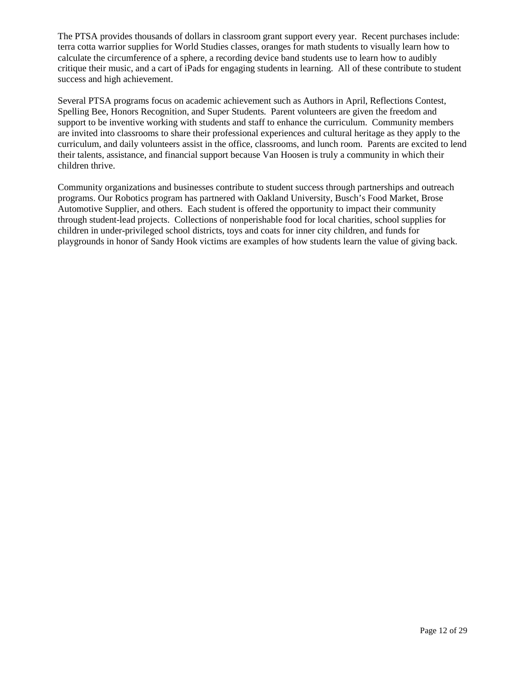The PTSA provides thousands of dollars in classroom grant support every year. Recent purchases include: terra cotta warrior supplies for World Studies classes, oranges for math students to visually learn how to calculate the circumference of a sphere, a recording device band students use to learn how to audibly critique their music, and a cart of iPads for engaging students in learning. All of these contribute to student success and high achievement.

Several PTSA programs focus on academic achievement such as Authors in April, Reflections Contest, Spelling Bee, Honors Recognition, and Super Students. Parent volunteers are given the freedom and support to be inventive working with students and staff to enhance the curriculum. Community members are invited into classrooms to share their professional experiences and cultural heritage as they apply to the curriculum, and daily volunteers assist in the office, classrooms, and lunch room. Parents are excited to lend their talents, assistance, and financial support because Van Hoosen is truly a community in which their children thrive.

Community organizations and businesses contribute to student success through partnerships and outreach programs. Our Robotics program has partnered with Oakland University, Busch's Food Market, Brose Automotive Supplier, and others. Each student is offered the opportunity to impact their community through student-lead projects. Collections of nonperishable food for local charities, school supplies for children in under-privileged school districts, toys and coats for inner city children, and funds for playgrounds in honor of Sandy Hook victims are examples of how students learn the value of giving back.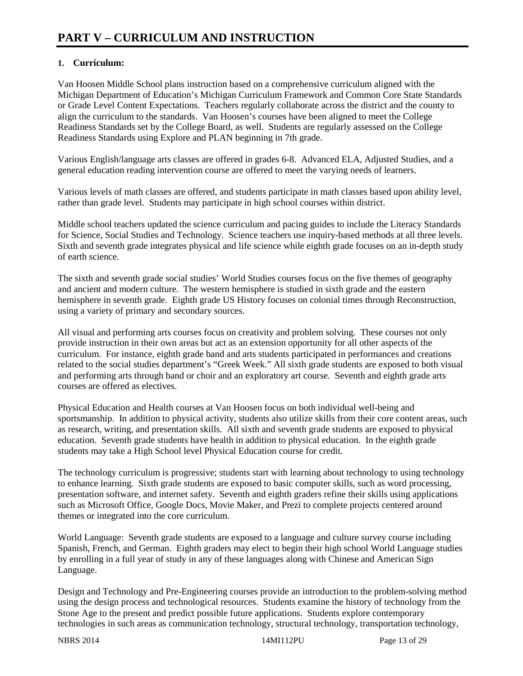# **1. Curriculum:**

Van Hoosen Middle School plans instruction based on a comprehensive curriculum aligned with the Michigan Department of Education's Michigan Curriculum Framework and Common Core State Standards or Grade Level Content Expectations. Teachers regularly collaborate across the district and the county to align the curriculum to the standards. Van Hoosen's courses have been aligned to meet the College Readiness Standards set by the College Board, as well. Students are regularly assessed on the College Readiness Standards using Explore and PLAN beginning in 7th grade.

Various English/language arts classes are offered in grades 6-8. Advanced ELA, Adjusted Studies, and a general education reading intervention course are offered to meet the varying needs of learners.

Various levels of math classes are offered, and students participate in math classes based upon ability level, rather than grade level. Students may participate in high school courses within district.

Middle school teachers updated the science curriculum and pacing guides to include the Literacy Standards for Science, Social Studies and Technology. Science teachers use inquiry-based methods at all three levels. Sixth and seventh grade integrates physical and life science while eighth grade focuses on an in-depth study of earth science.

The sixth and seventh grade social studies' World Studies courses focus on the five themes of geography and ancient and modern culture. The western hemisphere is studied in sixth grade and the eastern hemisphere in seventh grade. Eighth grade US History focuses on colonial times through Reconstruction, using a variety of primary and secondary sources.

All visual and performing arts courses focus on creativity and problem solving. These courses not only provide instruction in their own areas but act as an extension opportunity for all other aspects of the curriculum. For instance, eighth grade band and arts students participated in performances and creations related to the social studies department's "Greek Week." All sixth grade students are exposed to both visual and performing arts through band or choir and an exploratory art course. Seventh and eighth grade arts courses are offered as electives.

Physical Education and Health courses at Van Hoosen focus on both individual well-being and sportsmanship. In addition to physical activity, students also utilize skills from their core content areas, such as research, writing, and presentation skills. All sixth and seventh grade students are exposed to physical education. Seventh grade students have health in addition to physical education. In the eighth grade students may take a High School level Physical Education course for credit.

The technology curriculum is progressive; students start with learning about technology to using technology to enhance learning. Sixth grade students are exposed to basic computer skills, such as word processing, presentation software, and internet safety. Seventh and eighth graders refine their skills using applications such as Microsoft Office, Google Docs, Movie Maker, and Prezi to complete projects centered around themes or integrated into the core curriculum.

World Language: Seventh grade students are exposed to a language and culture survey course including Spanish, French, and German. Eighth graders may elect to begin their high school World Language studies by enrolling in a full year of study in any of these languages along with Chinese and American Sign Language.

Design and Technology and Pre-Engineering courses provide an introduction to the problem-solving method using the design process and technological resources. Students examine the history of technology from the Stone Age to the present and predict possible future applications. Students explore contemporary technologies in such areas as communication technology, structural technology, transportation technology,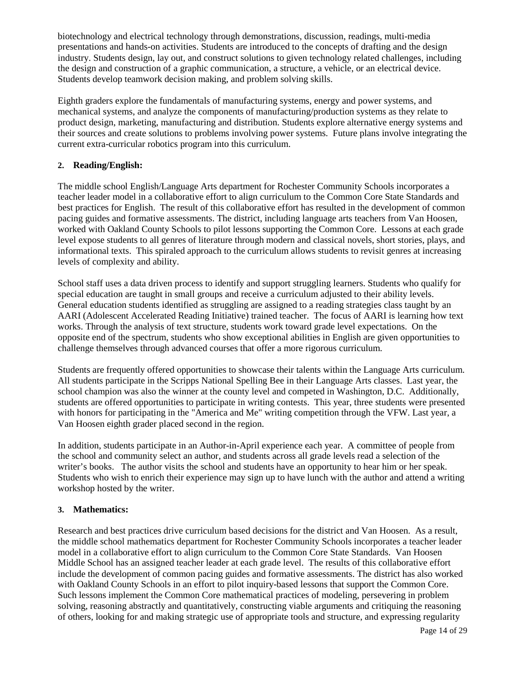biotechnology and electrical technology through demonstrations, discussion, readings, multi-media presentations and hands-on activities. Students are introduced to the concepts of drafting and the design industry. Students design, lay out, and construct solutions to given technology related challenges, including the design and construction of a graphic communication, a structure, a vehicle, or an electrical device. Students develop teamwork decision making, and problem solving skills.

Eighth graders explore the fundamentals of manufacturing systems, energy and power systems, and mechanical systems, and analyze the components of manufacturing/production systems as they relate to product design, marketing, manufacturing and distribution. Students explore alternative energy systems and their sources and create solutions to problems involving power systems. Future plans involve integrating the current extra-curricular robotics program into this curriculum.

## **2. Reading/English:**

The middle school English/Language Arts department for Rochester Community Schools incorporates a teacher leader model in a collaborative effort to align curriculum to the Common Core State Standards and best practices for English. The result of this collaborative effort has resulted in the development of common pacing guides and formative assessments. The district, including language arts teachers from Van Hoosen, worked with Oakland County Schools to pilot lessons supporting the Common Core. Lessons at each grade level expose students to all genres of literature through modern and classical novels, short stories, plays, and informational texts. This spiraled approach to the curriculum allows students to revisit genres at increasing levels of complexity and ability.

School staff uses a data driven process to identify and support struggling learners. Students who qualify for special education are taught in small groups and receive a curriculum adjusted to their ability levels. General education students identified as struggling are assigned to a reading strategies class taught by an AARI (Adolescent Accelerated Reading Initiative) trained teacher. The focus of AARI is learning how text works. Through the analysis of text structure, students work toward grade level expectations. On the opposite end of the spectrum, students who show exceptional abilities in English are given opportunities to challenge themselves through advanced courses that offer a more rigorous curriculum.

Students are frequently offered opportunities to showcase their talents within the Language Arts curriculum. All students participate in the Scripps National Spelling Bee in their Language Arts classes. Last year, the school champion was also the winner at the county level and competed in Washington, D.C. Additionally, students are offered opportunities to participate in writing contests. This year, three students were presented with honors for participating in the "America and Me" writing competition through the VFW. Last year, a Van Hoosen eighth grader placed second in the region.

In addition, students participate in an Author-in-April experience each year. A committee of people from the school and community select an author, and students across all grade levels read a selection of the writer's books. The author visits the school and students have an opportunity to hear him or her speak. Students who wish to enrich their experience may sign up to have lunch with the author and attend a writing workshop hosted by the writer.

# **3. Mathematics:**

Research and best practices drive curriculum based decisions for the district and Van Hoosen. As a result, the middle school mathematics department for Rochester Community Schools incorporates a teacher leader model in a collaborative effort to align curriculum to the Common Core State Standards. Van Hoosen Middle School has an assigned teacher leader at each grade level. The results of this collaborative effort include the development of common pacing guides and formative assessments. The district has also worked with Oakland County Schools in an effort to pilot inquiry-based lessons that support the Common Core. Such lessons implement the Common Core mathematical practices of modeling, persevering in problem solving, reasoning abstractly and quantitatively, constructing viable arguments and critiquing the reasoning of others, looking for and making strategic use of appropriate tools and structure, and expressing regularity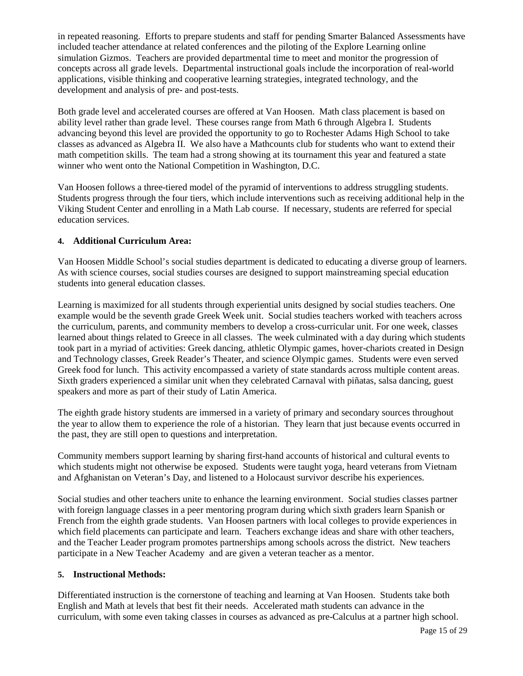in repeated reasoning. Efforts to prepare students and staff for pending Smarter Balanced Assessments have included teacher attendance at related conferences and the piloting of the Explore Learning online simulation Gizmos. Teachers are provided departmental time to meet and monitor the progression of concepts across all grade levels. Departmental instructional goals include the incorporation of real-world applications, visible thinking and cooperative learning strategies, integrated technology, and the development and analysis of pre- and post-tests.

Both grade level and accelerated courses are offered at Van Hoosen. Math class placement is based on ability level rather than grade level. These courses range from Math 6 through Algebra I. Students advancing beyond this level are provided the opportunity to go to Rochester Adams High School to take classes as advanced as Algebra II. We also have a Mathcounts club for students who want to extend their math competition skills. The team had a strong showing at its tournament this year and featured a state winner who went onto the National Competition in Washington, D.C.

Van Hoosen follows a three-tiered model of the pyramid of interventions to address struggling students. Students progress through the four tiers, which include interventions such as receiving additional help in the Viking Student Center and enrolling in a Math Lab course. If necessary, students are referred for special education services.

## **4. Additional Curriculum Area:**

Van Hoosen Middle School's social studies department is dedicated to educating a diverse group of learners. As with science courses, social studies courses are designed to support mainstreaming special education students into general education classes.

Learning is maximized for all students through experiential units designed by social studies teachers. One example would be the seventh grade Greek Week unit. Social studies teachers worked with teachers across the curriculum, parents, and community members to develop a cross-curricular unit. For one week, classes learned about things related to Greece in all classes. The week culminated with a day during which students took part in a myriad of activities: Greek dancing, athletic Olympic games, hover-chariots created in Design and Technology classes, Greek Reader's Theater, and science Olympic games. Students were even served Greek food for lunch. This activity encompassed a variety of state standards across multiple content areas. Sixth graders experienced a similar unit when they celebrated Carnaval with piñatas, salsa dancing, guest speakers and more as part of their study of Latin America.

The eighth grade history students are immersed in a variety of primary and secondary sources throughout the year to allow them to experience the role of a historian. They learn that just because events occurred in the past, they are still open to questions and interpretation.

Community members support learning by sharing first-hand accounts of historical and cultural events to which students might not otherwise be exposed. Students were taught yoga, heard veterans from Vietnam and Afghanistan on Veteran's Day, and listened to a Holocaust survivor describe his experiences.

Social studies and other teachers unite to enhance the learning environment. Social studies classes partner with foreign language classes in a peer mentoring program during which sixth graders learn Spanish or French from the eighth grade students. Van Hoosen partners with local colleges to provide experiences in which field placements can participate and learn. Teachers exchange ideas and share with other teachers, and the Teacher Leader program promotes partnerships among schools across the district. New teachers participate in a New Teacher Academy and are given a veteran teacher as a mentor.

### **5. Instructional Methods:**

Differentiated instruction is the cornerstone of teaching and learning at Van Hoosen. Students take both English and Math at levels that best fit their needs. Accelerated math students can advance in the curriculum, with some even taking classes in courses as advanced as pre-Calculus at a partner high school.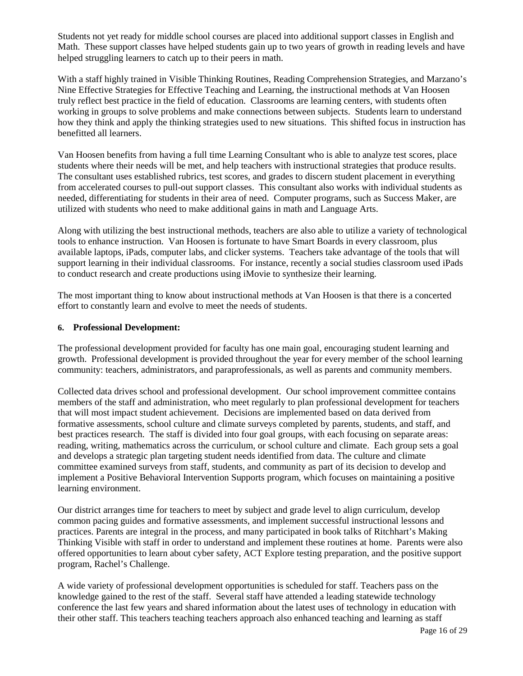Students not yet ready for middle school courses are placed into additional support classes in English and Math. These support classes have helped students gain up to two years of growth in reading levels and have helped struggling learners to catch up to their peers in math.

With a staff highly trained in Visible Thinking Routines, Reading Comprehension Strategies, and Marzano's Nine Effective Strategies for Effective Teaching and Learning, the instructional methods at Van Hoosen truly reflect best practice in the field of education. Classrooms are learning centers, with students often working in groups to solve problems and make connections between subjects. Students learn to understand how they think and apply the thinking strategies used to new situations. This shifted focus in instruction has benefitted all learners.

Van Hoosen benefits from having a full time Learning Consultant who is able to analyze test scores, place students where their needs will be met, and help teachers with instructional strategies that produce results. The consultant uses established rubrics, test scores, and grades to discern student placement in everything from accelerated courses to pull-out support classes. This consultant also works with individual students as needed, differentiating for students in their area of need. Computer programs, such as Success Maker, are utilized with students who need to make additional gains in math and Language Arts.

Along with utilizing the best instructional methods, teachers are also able to utilize a variety of technological tools to enhance instruction. Van Hoosen is fortunate to have Smart Boards in every classroom, plus available laptops, iPads, computer labs, and clicker systems. Teachers take advantage of the tools that will support learning in their individual classrooms. For instance, recently a social studies classroom used iPads to conduct research and create productions using iMovie to synthesize their learning.

The most important thing to know about instructional methods at Van Hoosen is that there is a concerted effort to constantly learn and evolve to meet the needs of students.

### **6. Professional Development:**

The professional development provided for faculty has one main goal, encouraging student learning and growth. Professional development is provided throughout the year for every member of the school learning community: teachers, administrators, and paraprofessionals, as well as parents and community members.

Collected data drives school and professional development. Our school improvement committee contains members of the staff and administration, who meet regularly to plan professional development for teachers that will most impact student achievement. Decisions are implemented based on data derived from formative assessments, school culture and climate surveys completed by parents, students, and staff, and best practices research. The staff is divided into four goal groups, with each focusing on separate areas: reading, writing, mathematics across the curriculum, or school culture and climate. Each group sets a goal and develops a strategic plan targeting student needs identified from data. The culture and climate committee examined surveys from staff, students, and community as part of its decision to develop and implement a Positive Behavioral Intervention Supports program, which focuses on maintaining a positive learning environment.

Our district arranges time for teachers to meet by subject and grade level to align curriculum, develop common pacing guides and formative assessments, and implement successful instructional lessons and practices. Parents are integral in the process, and many participated in book talks of Ritchhart's Making Thinking Visible with staff in order to understand and implement these routines at home. Parents were also offered opportunities to learn about cyber safety, ACT Explore testing preparation, and the positive support program, Rachel's Challenge.

A wide variety of professional development opportunities is scheduled for staff. Teachers pass on the knowledge gained to the rest of the staff. Several staff have attended a leading statewide technology conference the last few years and shared information about the latest uses of technology in education with their other staff. This teachers teaching teachers approach also enhanced teaching and learning as staff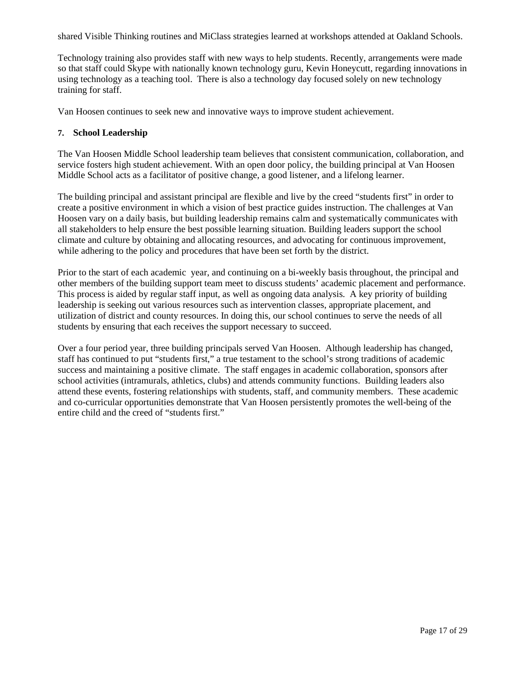shared Visible Thinking routines and MiClass strategies learned at workshops attended at Oakland Schools.

Technology training also provides staff with new ways to help students. Recently, arrangements were made so that staff could Skype with nationally known technology guru, Kevin Honeycutt, regarding innovations in using technology as a teaching tool. There is also a technology day focused solely on new technology training for staff.

Van Hoosen continues to seek new and innovative ways to improve student achievement.

### **7. School Leadership**

The Van Hoosen Middle School leadership team believes that consistent communication, collaboration, and service fosters high student achievement. With an open door policy, the building principal at Van Hoosen Middle School acts as a facilitator of positive change, a good listener, and a lifelong learner.

The building principal and assistant principal are flexible and live by the creed "students first" in order to create a positive environment in which a vision of best practice guides instruction. The challenges at Van Hoosen vary on a daily basis, but building leadership remains calm and systematically communicates with all stakeholders to help ensure the best possible learning situation. Building leaders support the school climate and culture by obtaining and allocating resources, and advocating for continuous improvement, while adhering to the policy and procedures that have been set forth by the district.

Prior to the start of each academic year, and continuing on a bi-weekly basis throughout, the principal and other members of the building support team meet to discuss students' academic placement and performance. This process is aided by regular staff input, as well as ongoing data analysis. A key priority of building leadership is seeking out various resources such as intervention classes, appropriate placement, and utilization of district and county resources. In doing this, our school continues to serve the needs of all students by ensuring that each receives the support necessary to succeed.

Over a four period year, three building principals served Van Hoosen. Although leadership has changed, staff has continued to put "students first," a true testament to the school's strong traditions of academic success and maintaining a positive climate. The staff engages in academic collaboration, sponsors after school activities (intramurals, athletics, clubs) and attends community functions. Building leaders also attend these events, fostering relationships with students, staff, and community members. These academic and co-curricular opportunities demonstrate that Van Hoosen persistently promotes the well-being of the entire child and the creed of "students first."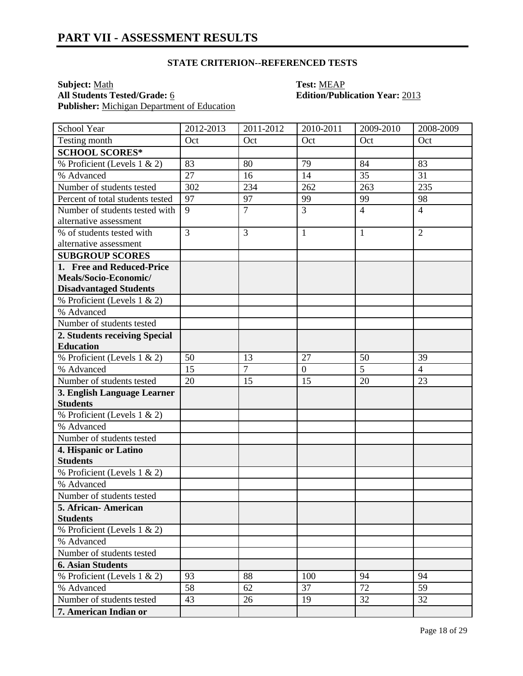**Subject:** <u>Math</u><br> **All Students Tested/Grade:** <u>6</u> **Test: MEAP**<br> **Edition/Publ Publisher:** Michigan Department of Education

# **All Students Tested/Grade:** 6 **Edition/Publication Year:** 2013

| School Year                      | 2012-2013 | 2011-2012      | 2010-2011      | 2009-2010       | 2008-2009      |
|----------------------------------|-----------|----------------|----------------|-----------------|----------------|
| Testing month                    | Oct       | Oct            | Oct            | Oct             | Oct            |
| <b>SCHOOL SCORES*</b>            |           |                |                |                 |                |
| % Proficient (Levels 1 & 2)      | 83        | 80             | 79             | 84              | 83             |
| % Advanced                       | 27        | 16             | 14             | $\overline{35}$ | 31             |
| Number of students tested        | 302       | 234            | 262            | 263             | 235            |
| Percent of total students tested | 97        | 97             | 99             | 99              | 98             |
| Number of students tested with   | 9         | $\overline{7}$ | 3              | $\overline{4}$  | $\overline{4}$ |
| alternative assessment           |           |                |                |                 |                |
| % of students tested with        | 3         | 3              | 1              | 1               | $\overline{2}$ |
| alternative assessment           |           |                |                |                 |                |
| <b>SUBGROUP SCORES</b>           |           |                |                |                 |                |
| 1. Free and Reduced-Price        |           |                |                |                 |                |
| Meals/Socio-Economic/            |           |                |                |                 |                |
| <b>Disadvantaged Students</b>    |           |                |                |                 |                |
| % Proficient (Levels 1 & 2)      |           |                |                |                 |                |
| % Advanced                       |           |                |                |                 |                |
| Number of students tested        |           |                |                |                 |                |
| 2. Students receiving Special    |           |                |                |                 |                |
| <b>Education</b>                 |           |                |                |                 |                |
| % Proficient (Levels 1 & 2)      | 50        | 13             | 27             | 50              | 39             |
| % Advanced                       | 15        | $\overline{7}$ | $\overline{0}$ | 5               | $\overline{4}$ |
| Number of students tested        | 20        | 15             | 15             | 20              | 23             |
| 3. English Language Learner      |           |                |                |                 |                |
| <b>Students</b>                  |           |                |                |                 |                |
| % Proficient (Levels 1 & 2)      |           |                |                |                 |                |
| % Advanced                       |           |                |                |                 |                |
| Number of students tested        |           |                |                |                 |                |
| 4. Hispanic or Latino            |           |                |                |                 |                |
| <b>Students</b>                  |           |                |                |                 |                |
| % Proficient (Levels 1 & 2)      |           |                |                |                 |                |
| % Advanced                       |           |                |                |                 |                |
| Number of students tested        |           |                |                |                 |                |
| 5. African- American             |           |                |                |                 |                |
| <b>Students</b>                  |           |                |                |                 |                |
| % Proficient (Levels 1 & 2)      |           |                |                |                 |                |
| % Advanced                       |           |                |                |                 |                |
| Number of students tested        |           |                |                |                 |                |
| <b>6. Asian Students</b>         |           |                |                |                 |                |
| % Proficient (Levels 1 & 2)      | 93        | 88             | 100            | 94              | 94             |
| % Advanced                       | 58        | 62             | 37             | 72              | 59             |
| Number of students tested        | 43        | 26             | 19             | 32              | 32             |
| 7. American Indian or            |           |                |                |                 |                |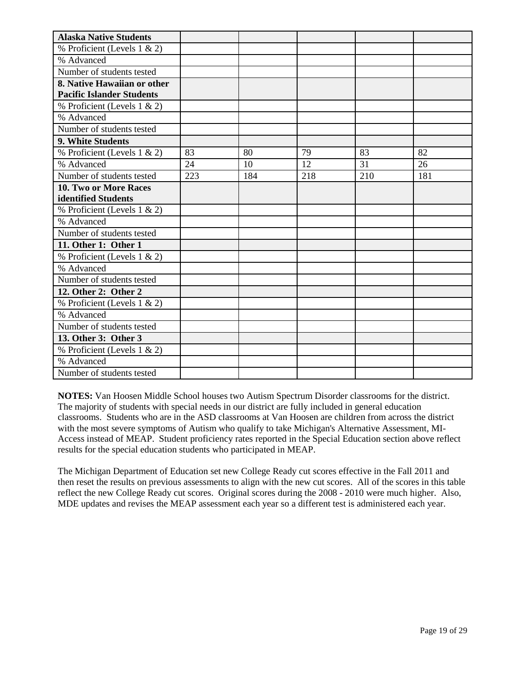| <b>Alaska Native Students</b>    |     |     |     |     |     |
|----------------------------------|-----|-----|-----|-----|-----|
| % Proficient (Levels 1 & 2)      |     |     |     |     |     |
| % Advanced                       |     |     |     |     |     |
| Number of students tested        |     |     |     |     |     |
| 8. Native Hawaiian or other      |     |     |     |     |     |
| <b>Pacific Islander Students</b> |     |     |     |     |     |
| % Proficient (Levels 1 & 2)      |     |     |     |     |     |
| % Advanced                       |     |     |     |     |     |
| Number of students tested        |     |     |     |     |     |
| 9. White Students                |     |     |     |     |     |
| % Proficient (Levels 1 & 2)      | 83  | 80  | 79  | 83  | 82  |
| % Advanced                       | 24  | 10  | 12  | 31  | 26  |
| Number of students tested        | 223 | 184 | 218 | 210 | 181 |
| <b>10. Two or More Races</b>     |     |     |     |     |     |
| identified Students              |     |     |     |     |     |
| % Proficient (Levels 1 & 2)      |     |     |     |     |     |
| % Advanced                       |     |     |     |     |     |
| Number of students tested        |     |     |     |     |     |
| 11. Other 1: Other 1             |     |     |     |     |     |
| % Proficient (Levels 1 & 2)      |     |     |     |     |     |
| % Advanced                       |     |     |     |     |     |
| Number of students tested        |     |     |     |     |     |
| 12. Other 2: Other 2             |     |     |     |     |     |
| % Proficient (Levels 1 & 2)      |     |     |     |     |     |
| % Advanced                       |     |     |     |     |     |
| Number of students tested        |     |     |     |     |     |
| 13. Other 3: Other 3             |     |     |     |     |     |
| % Proficient (Levels 1 & 2)      |     |     |     |     |     |
| % Advanced                       |     |     |     |     |     |
| Number of students tested        |     |     |     |     |     |

**NOTES:** Van Hoosen Middle School houses two Autism Spectrum Disorder classrooms for the district. The majority of students with special needs in our district are fully included in general education classrooms. Students who are in the ASD classrooms at Van Hoosen are children from across the district with the most severe symptoms of Autism who qualify to take Michigan's Alternative Assessment, MI-Access instead of MEAP. Student proficiency rates reported in the Special Education section above reflect results for the special education students who participated in MEAP.

The Michigan Department of Education set new College Ready cut scores effective in the Fall 2011 and then reset the results on previous assessments to align with the new cut scores. All of the scores in this table reflect the new College Ready cut scores. Original scores during the 2008 - 2010 were much higher. Also, MDE updates and revises the MEAP assessment each year so a different test is administered each year.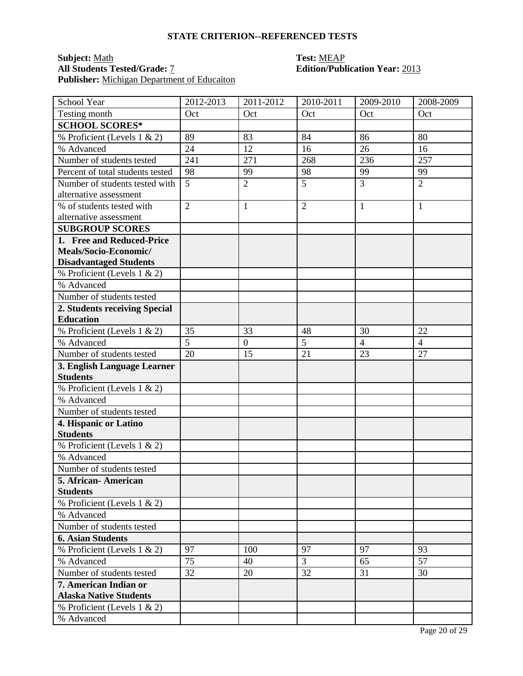# **Subject:** Math **Test:** MEAP **Publisher:** Michigan Department of Educaiton

# **Edition/Publication Year: 2013**

| School Year                      | 2012-2013      | 2011-2012        | 2010-2011      | 2009-2010      | 2008-2009      |
|----------------------------------|----------------|------------------|----------------|----------------|----------------|
| Testing month                    | Oct            | Oct              | Oct            | Oct            | Oct            |
| <b>SCHOOL SCORES*</b>            |                |                  |                |                |                |
| % Proficient (Levels 1 & 2)      | 89             | 83               | 84             | 86             | 80             |
| % Advanced                       | 24             | 12               | 16             | 26             | 16             |
| Number of students tested        | 241            | 271              | 268            | 236            | 257            |
| Percent of total students tested | 98             | 99               | 98             | 99             | 99             |
| Number of students tested with   | 5              | $\overline{2}$   | 5              | 3              | $\overline{2}$ |
| alternative assessment           |                |                  |                |                |                |
| % of students tested with        | $\overline{2}$ | $\mathbf{1}$     | $\overline{2}$ | $\mathbf{1}$   | $\mathbf{1}$   |
| alternative assessment           |                |                  |                |                |                |
| <b>SUBGROUP SCORES</b>           |                |                  |                |                |                |
| 1. Free and Reduced-Price        |                |                  |                |                |                |
| Meals/Socio-Economic/            |                |                  |                |                |                |
| <b>Disadvantaged Students</b>    |                |                  |                |                |                |
| % Proficient (Levels 1 & 2)      |                |                  |                |                |                |
| % Advanced                       |                |                  |                |                |                |
| Number of students tested        |                |                  |                |                |                |
| 2. Students receiving Special    |                |                  |                |                |                |
| <b>Education</b>                 |                |                  |                |                |                |
| % Proficient (Levels 1 & 2)      | 35             | 33               | 48             | 30             | 22             |
| % Advanced                       | 5              | $\boldsymbol{0}$ | 5              | $\overline{4}$ | $\overline{4}$ |
| Number of students tested        | 20             | 15               | 21             | 23             | 27             |
| 3. English Language Learner      |                |                  |                |                |                |
| <b>Students</b>                  |                |                  |                |                |                |
| % Proficient (Levels 1 & 2)      |                |                  |                |                |                |
| % Advanced                       |                |                  |                |                |                |
| Number of students tested        |                |                  |                |                |                |
| 4. Hispanic or Latino            |                |                  |                |                |                |
| <b>Students</b>                  |                |                  |                |                |                |
| % Proficient (Levels 1 & 2)      |                |                  |                |                |                |
| % Advanced                       |                |                  |                |                |                |
| Number of students tested        |                |                  |                |                |                |
| 5. African-American              |                |                  |                |                |                |
| <b>Students</b>                  |                |                  |                |                |                |
| % Proficient (Levels $1 \& 2$ )  |                |                  |                |                |                |
| % Advanced                       |                |                  |                |                |                |
| Number of students tested        |                |                  |                |                |                |
| <b>6. Asian Students</b>         |                |                  |                |                |                |
| % Proficient (Levels 1 & 2)      | 97             | 100              | 97             | 97             | 93             |
| % Advanced                       | 75             | 40               | $\mathfrak{Z}$ | 65             | 57             |
| Number of students tested        | 32             | 20               | 32             | 31             | 30             |
| 7. American Indian or            |                |                  |                |                |                |
| <b>Alaska Native Students</b>    |                |                  |                |                |                |
| % Proficient (Levels $1 \& 2$ )  |                |                  |                |                |                |
| % Advanced                       |                |                  |                |                |                |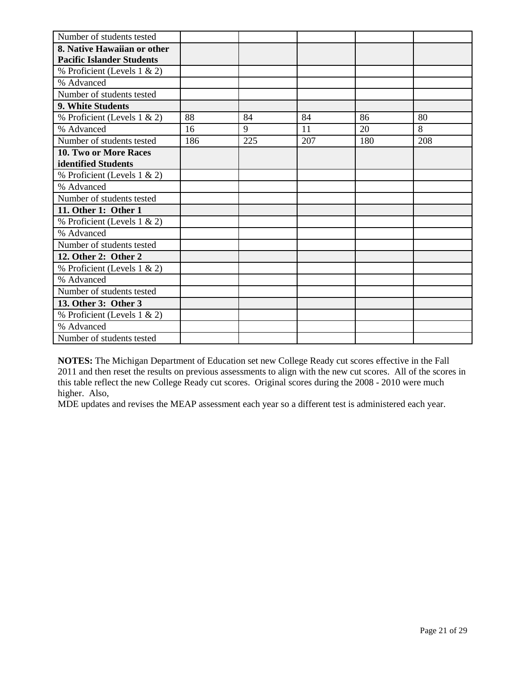| Number of students tested        |     |     |     |     |     |
|----------------------------------|-----|-----|-----|-----|-----|
| 8. Native Hawaiian or other      |     |     |     |     |     |
| <b>Pacific Islander Students</b> |     |     |     |     |     |
| % Proficient (Levels 1 & 2)      |     |     |     |     |     |
| % Advanced                       |     |     |     |     |     |
| Number of students tested        |     |     |     |     |     |
| 9. White Students                |     |     |     |     |     |
| % Proficient (Levels 1 & 2)      | 88  | 84  | 84  | 86  | 80  |
| % Advanced                       | 16  | 9   | 11  | 20  | 8   |
| Number of students tested        | 186 | 225 | 207 | 180 | 208 |
| <b>10. Two or More Races</b>     |     |     |     |     |     |
| identified Students              |     |     |     |     |     |
| % Proficient (Levels 1 & 2)      |     |     |     |     |     |
| % Advanced                       |     |     |     |     |     |
| Number of students tested        |     |     |     |     |     |
| 11. Other 1: Other 1             |     |     |     |     |     |
| % Proficient (Levels 1 & 2)      |     |     |     |     |     |
| % Advanced                       |     |     |     |     |     |
| Number of students tested        |     |     |     |     |     |
| 12. Other 2: Other 2             |     |     |     |     |     |
| % Proficient (Levels 1 & 2)      |     |     |     |     |     |
| % Advanced                       |     |     |     |     |     |
| Number of students tested        |     |     |     |     |     |
| 13. Other 3: Other 3             |     |     |     |     |     |
| % Proficient (Levels 1 & 2)      |     |     |     |     |     |
| % Advanced                       |     |     |     |     |     |
| Number of students tested        |     |     |     |     |     |

**NOTES:** The Michigan Department of Education set new College Ready cut scores effective in the Fall 2011 and then reset the results on previous assessments to align with the new cut scores. All of the scores in this table reflect the new College Ready cut scores. Original scores during the 2008 - 2010 were much higher. Also,

MDE updates and revises the MEAP assessment each year so a different test is administered each year.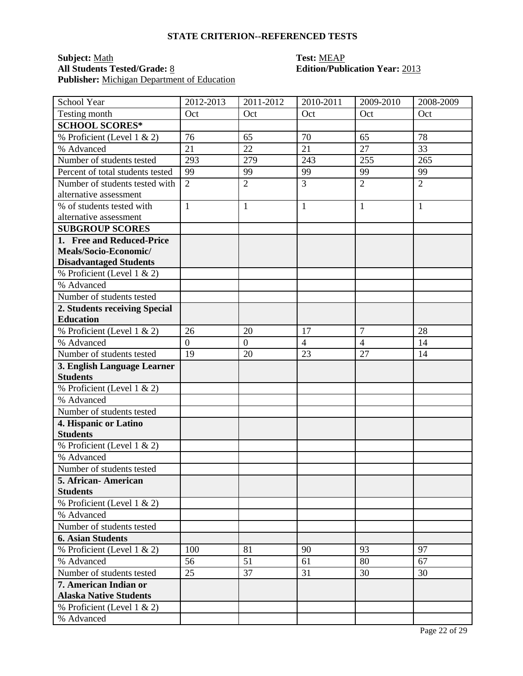# **Subject:** <u>Math</u><br> **All Students Tested/Grade:** <u>8</u> **Test: MEAP**<br> **Edition/Publ Publisher:** Michigan Department of Education

# **All Students Tested/Grade:** 8 **Edition/Publication Year:** 2013

| School Year                      | 2012-2013      | 2011-2012        | 2010-2011      | 2009-2010      | 2008-2009      |
|----------------------------------|----------------|------------------|----------------|----------------|----------------|
| Testing month                    | Oct            | Oct              | Oct            | Oct            | Oct            |
| <b>SCHOOL SCORES*</b>            |                |                  |                |                |                |
| % Proficient (Level 1 & 2)       | 76             | 65               | 70             | 65             | 78             |
| % Advanced                       | 21             | 22               | 21             | 27             | 33             |
| Number of students tested        | 293            | 279              | 243            | 255            | 265            |
| Percent of total students tested | 99             | 99               | 99             | 99             | 99             |
| Number of students tested with   | $\overline{2}$ | $\overline{2}$   | 3              | $\overline{2}$ | $\overline{2}$ |
| alternative assessment           |                |                  |                |                |                |
| % of students tested with        | $\mathbf{1}$   | $\mathbf{1}$     | $\mathbf{1}$   | $\mathbf{1}$   | 1              |
| alternative assessment           |                |                  |                |                |                |
| <b>SUBGROUP SCORES</b>           |                |                  |                |                |                |
| 1. Free and Reduced-Price        |                |                  |                |                |                |
| Meals/Socio-Economic/            |                |                  |                |                |                |
| <b>Disadvantaged Students</b>    |                |                  |                |                |                |
| % Proficient (Level 1 & 2)       |                |                  |                |                |                |
| % Advanced                       |                |                  |                |                |                |
| Number of students tested        |                |                  |                |                |                |
| 2. Students receiving Special    |                |                  |                |                |                |
| <b>Education</b>                 |                |                  |                |                |                |
| % Proficient (Level 1 & 2)       | 26             | 20               | 17             | $\overline{7}$ | 28             |
| % Advanced                       | $\overline{0}$ | $\boldsymbol{0}$ | $\overline{4}$ | $\overline{4}$ | 14             |
| Number of students tested        | 19             | 20               | 23             | 27             | 14             |
| 3. English Language Learner      |                |                  |                |                |                |
| <b>Students</b>                  |                |                  |                |                |                |
| % Proficient (Level 1 & 2)       |                |                  |                |                |                |
| % Advanced                       |                |                  |                |                |                |
| Number of students tested        |                |                  |                |                |                |
| 4. Hispanic or Latino            |                |                  |                |                |                |
| <b>Students</b>                  |                |                  |                |                |                |
| % Proficient (Level 1 & 2)       |                |                  |                |                |                |
| % Advanced                       |                |                  |                |                |                |
| Number of students tested        |                |                  |                |                |                |
| 5. African-American              |                |                  |                |                |                |
| <b>Students</b>                  |                |                  |                |                |                |
| % Proficient (Level 1 & 2)       |                |                  |                |                |                |
| % Advanced                       |                |                  |                |                |                |
| Number of students tested        |                |                  |                |                |                |
| <b>6. Asian Students</b>         |                |                  |                |                |                |
| % Proficient (Level 1 & 2)       | 100            | 81               | 90             | 93             | 97             |
| % Advanced                       | 56             | 51               | 61             | 80             | 67             |
| Number of students tested        | 25             | 37               | 31             | 30             | 30             |
| 7. American Indian or            |                |                  |                |                |                |
| <b>Alaska Native Students</b>    |                |                  |                |                |                |
| % Proficient (Level $1 \& 2$ )   |                |                  |                |                |                |
| % Advanced                       |                |                  |                |                |                |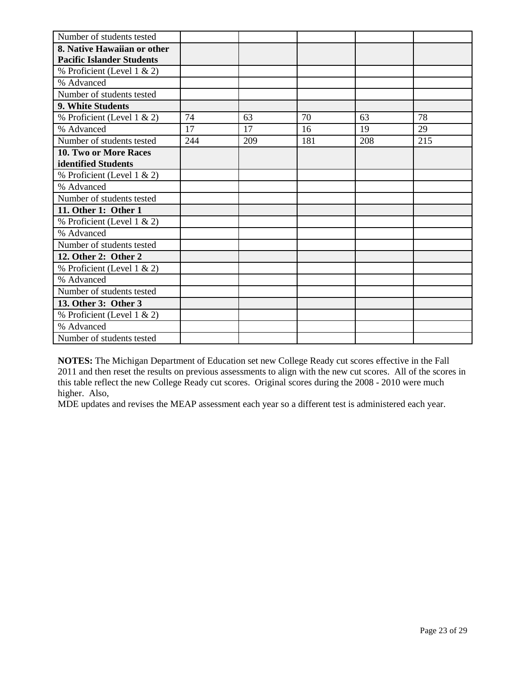| Number of students tested        |     |     |     |     |     |
|----------------------------------|-----|-----|-----|-----|-----|
| 8. Native Hawaiian or other      |     |     |     |     |     |
| <b>Pacific Islander Students</b> |     |     |     |     |     |
| % Proficient (Level 1 & 2)       |     |     |     |     |     |
| % Advanced                       |     |     |     |     |     |
| Number of students tested        |     |     |     |     |     |
| 9. White Students                |     |     |     |     |     |
| % Proficient (Level 1 & 2)       | 74  | 63  | 70  | 63  | 78  |
| % Advanced                       | 17  | 17  | 16  | 19  | 29  |
| Number of students tested        | 244 | 209 | 181 | 208 | 215 |
| <b>10. Two or More Races</b>     |     |     |     |     |     |
| identified Students              |     |     |     |     |     |
| % Proficient (Level 1 & 2)       |     |     |     |     |     |
| % Advanced                       |     |     |     |     |     |
| Number of students tested        |     |     |     |     |     |
| 11. Other 1: Other 1             |     |     |     |     |     |
| % Proficient (Level $1 \& 2$ )   |     |     |     |     |     |
| % Advanced                       |     |     |     |     |     |
| Number of students tested        |     |     |     |     |     |
| 12. Other 2: Other 2             |     |     |     |     |     |
| % Proficient (Level $1 \& 2$ )   |     |     |     |     |     |
| % Advanced                       |     |     |     |     |     |
| Number of students tested        |     |     |     |     |     |
| 13. Other 3: Other 3             |     |     |     |     |     |
| % Proficient (Level $1 \& 2$ )   |     |     |     |     |     |
| % Advanced                       |     |     |     |     |     |
| Number of students tested        |     |     |     |     |     |

**NOTES:** The Michigan Department of Education set new College Ready cut scores effective in the Fall 2011 and then reset the results on previous assessments to align with the new cut scores. All of the scores in this table reflect the new College Ready cut scores. Original scores during the 2008 - 2010 were much higher. Also,

MDE updates and revises the MEAP assessment each year so a different test is administered each year.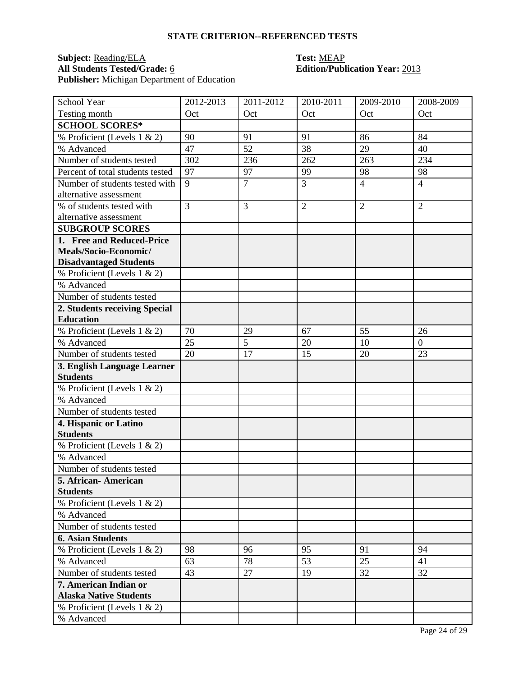# **Subject:** <u>Reading/ELA</u> **Test:** <u>MEAP</u><br> **All Students Tested/Grade:** <u>6</u> **C Edition/Publ Publisher:** Michigan Department of Education

# **All Students Tested/Grade:** 6 **Edition/Publication Year:** 2013

| School Year                      | 2012-2013      | 2011-2012      | 2010-2011      | 2009-2010      | 2008-2009      |
|----------------------------------|----------------|----------------|----------------|----------------|----------------|
| Testing month                    | Oct            | Oct            | Oct            | Oct            | Oct            |
| <b>SCHOOL SCORES*</b>            |                |                |                |                |                |
| % Proficient (Levels 1 & 2)      | 90             | 91             | 91             | 86             | 84             |
| % Advanced                       | 47             | 52             | 38             | 29             | 40             |
| Number of students tested        | 302            | 236            | 262            | 263            | 234            |
| Percent of total students tested | 97             | 97             | 99             | 98             | 98             |
| Number of students tested with   | 9              | $\overline{7}$ | $\overline{3}$ | $\overline{4}$ | $\overline{4}$ |
| alternative assessment           |                |                |                |                |                |
| % of students tested with        | $\overline{3}$ | 3              | $\overline{2}$ | $\overline{2}$ | $\overline{2}$ |
| alternative assessment           |                |                |                |                |                |
| <b>SUBGROUP SCORES</b>           |                |                |                |                |                |
| 1. Free and Reduced-Price        |                |                |                |                |                |
| Meals/Socio-Economic/            |                |                |                |                |                |
| <b>Disadvantaged Students</b>    |                |                |                |                |                |
| % Proficient (Levels 1 & 2)      |                |                |                |                |                |
| % Advanced                       |                |                |                |                |                |
| Number of students tested        |                |                |                |                |                |
| 2. Students receiving Special    |                |                |                |                |                |
| <b>Education</b>                 |                |                |                |                |                |
| % Proficient (Levels 1 & 2)      | 70             | 29             | 67             | 55             | 26             |
| % Advanced                       | 25             | 5              | 20             | 10             | $\overline{0}$ |
| Number of students tested        | 20             | 17             | 15             | 20             | 23             |
| 3. English Language Learner      |                |                |                |                |                |
| <b>Students</b>                  |                |                |                |                |                |
| % Proficient (Levels 1 & 2)      |                |                |                |                |                |
| % Advanced                       |                |                |                |                |                |
| Number of students tested        |                |                |                |                |                |
| 4. Hispanic or Latino            |                |                |                |                |                |
| <b>Students</b>                  |                |                |                |                |                |
| % Proficient (Levels 1 & 2)      |                |                |                |                |                |
| % Advanced                       |                |                |                |                |                |
| Number of students tested        |                |                |                |                |                |
| 5. African-American              |                |                |                |                |                |
| <b>Students</b>                  |                |                |                |                |                |
| % Proficient (Levels $1 \& 2$ )  |                |                |                |                |                |
| % Advanced                       |                |                |                |                |                |
| Number of students tested        |                |                |                |                |                |
| <b>6. Asian Students</b>         |                |                |                |                |                |
| % Proficient (Levels 1 & 2)      | 98             | 96             | 95             | 91             | 94             |
| % Advanced                       | 63             | 78             | 53             | 25             | 41             |
| Number of students tested        | 43             | 27             | 19             | 32             | 32             |
| 7. American Indian or            |                |                |                |                |                |
| <b>Alaska Native Students</b>    |                |                |                |                |                |
| % Proficient (Levels $1 \& 2$ )  |                |                |                |                |                |
| % Advanced                       |                |                |                |                |                |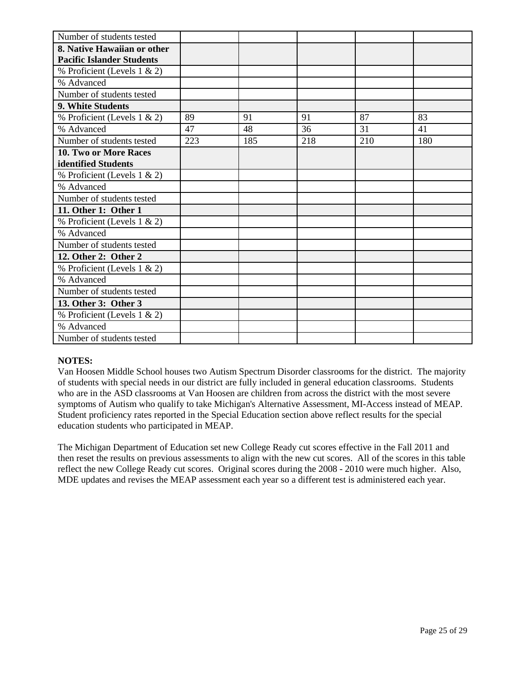| Number of students tested        |     |     |     |     |     |
|----------------------------------|-----|-----|-----|-----|-----|
| 8. Native Hawaiian or other      |     |     |     |     |     |
| <b>Pacific Islander Students</b> |     |     |     |     |     |
| % Proficient (Levels 1 & 2)      |     |     |     |     |     |
| % Advanced                       |     |     |     |     |     |
| Number of students tested        |     |     |     |     |     |
| 9. White Students                |     |     |     |     |     |
| % Proficient (Levels 1 & 2)      | 89  | 91  | 91  | 87  | 83  |
| % Advanced                       | 47  | 48  | 36  | 31  | 41  |
| Number of students tested        | 223 | 185 | 218 | 210 | 180 |
| 10. Two or More Races            |     |     |     |     |     |
| identified Students              |     |     |     |     |     |
| % Proficient (Levels 1 & 2)      |     |     |     |     |     |
| % Advanced                       |     |     |     |     |     |
| Number of students tested        |     |     |     |     |     |
| 11. Other 1: Other 1             |     |     |     |     |     |
| % Proficient (Levels $1 \& 2$ )  |     |     |     |     |     |
| % Advanced                       |     |     |     |     |     |
| Number of students tested        |     |     |     |     |     |
| 12. Other 2: Other 2             |     |     |     |     |     |
| % Proficient (Levels 1 & 2)      |     |     |     |     |     |
| % Advanced                       |     |     |     |     |     |
| Number of students tested        |     |     |     |     |     |
| 13. Other 3: Other 3             |     |     |     |     |     |
| % Proficient (Levels 1 & 2)      |     |     |     |     |     |
| % Advanced                       |     |     |     |     |     |
| Number of students tested        |     |     |     |     |     |

### **NOTES:**

Van Hoosen Middle School houses two Autism Spectrum Disorder classrooms for the district. The majority of students with special needs in our district are fully included in general education classrooms. Students who are in the ASD classrooms at Van Hoosen are children from across the district with the most severe symptoms of Autism who qualify to take Michigan's Alternative Assessment, MI-Access instead of MEAP. Student proficiency rates reported in the Special Education section above reflect results for the special education students who participated in MEAP.

The Michigan Department of Education set new College Ready cut scores effective in the Fall 2011 and then reset the results on previous assessments to align with the new cut scores. All of the scores in this table reflect the new College Ready cut scores. Original scores during the 2008 - 2010 were much higher. Also, MDE updates and revises the MEAP assessment each year so a different test is administered each year.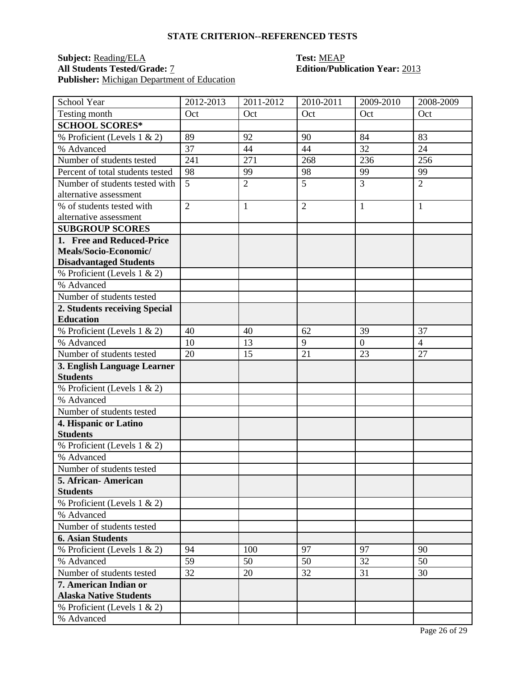# **Subject:** <u>Reading/ELA</u> **Test:** <u>MEAP</u><br> **All Students Tested/Grade:** 7 **Test: Edition/Publ Publisher:** Michigan Department of Education

# **Edition/Publication Year: 2013**

| School Year                               | 2012-2013      | $2011 - 2012$  | 2010-2011      | 2009-2010      | 2008-2009      |
|-------------------------------------------|----------------|----------------|----------------|----------------|----------------|
| Testing month                             | Oct            | Oct            | Oct            | Oct            | Oct            |
| <b>SCHOOL SCORES*</b>                     |                |                |                |                |                |
| $\overline{\%}$ Proficient (Levels 1 & 2) | 89             | 92             | 90             | 84             | 83             |
| % Advanced                                | 37             | 44             | 44             | 32             | 24             |
| Number of students tested                 | 241            | 271            | 268            | 236            | 256            |
| Percent of total students tested          | 98             | 99             | 98             | 99             | 99             |
| Number of students tested with            | 5              | $\overline{2}$ | 5              | $\overline{3}$ | $\overline{2}$ |
| alternative assessment                    |                |                |                |                |                |
| % of students tested with                 | $\overline{2}$ | 1              | $\overline{2}$ | $\mathbf{1}$   | 1              |
| alternative assessment                    |                |                |                |                |                |
| <b>SUBGROUP SCORES</b>                    |                |                |                |                |                |
| 1. Free and Reduced-Price                 |                |                |                |                |                |
| Meals/Socio-Economic/                     |                |                |                |                |                |
| <b>Disadvantaged Students</b>             |                |                |                |                |                |
| % Proficient (Levels 1 & 2)               |                |                |                |                |                |
| % Advanced                                |                |                |                |                |                |
| Number of students tested                 |                |                |                |                |                |
| 2. Students receiving Special             |                |                |                |                |                |
| <b>Education</b>                          |                |                |                |                |                |
| % Proficient (Levels 1 & 2)               | 40             | 40             | 62             | 39             | 37             |
| % Advanced                                | 10             | 13             | 9              | $\overline{0}$ | $\overline{4}$ |
| Number of students tested                 | 20             | 15             | 21             | 23             | 27             |
| 3. English Language Learner               |                |                |                |                |                |
| <b>Students</b>                           |                |                |                |                |                |
| % Proficient (Levels 1 & 2)               |                |                |                |                |                |
| % Advanced                                |                |                |                |                |                |
| Number of students tested                 |                |                |                |                |                |
| 4. Hispanic or Latino                     |                |                |                |                |                |
| <b>Students</b>                           |                |                |                |                |                |
| % Proficient (Levels 1 & 2)               |                |                |                |                |                |
| % Advanced                                |                |                |                |                |                |
| Number of students tested                 |                |                |                |                |                |
| 5. African- American                      |                |                |                |                |                |
| <b>Students</b>                           |                |                |                |                |                |
| % Proficient (Levels 1 & 2)               |                |                |                |                |                |
| % Advanced                                |                |                |                |                |                |
| Number of students tested                 |                |                |                |                |                |
| <b>6. Asian Students</b>                  |                |                |                |                |                |
| % Proficient (Levels 1 & 2)               | 94             | 100            | 97             | 97             | 90             |
| % Advanced                                | 59             | 50             | 50             | 32             | 50             |
| Number of students tested                 | 32             | 20             | 32             | 31             | 30             |
| 7. American Indian or                     |                |                |                |                |                |
| <b>Alaska Native Students</b>             |                |                |                |                |                |
| % Proficient (Levels 1 & 2)               |                |                |                |                |                |
| % Advanced                                |                |                |                |                |                |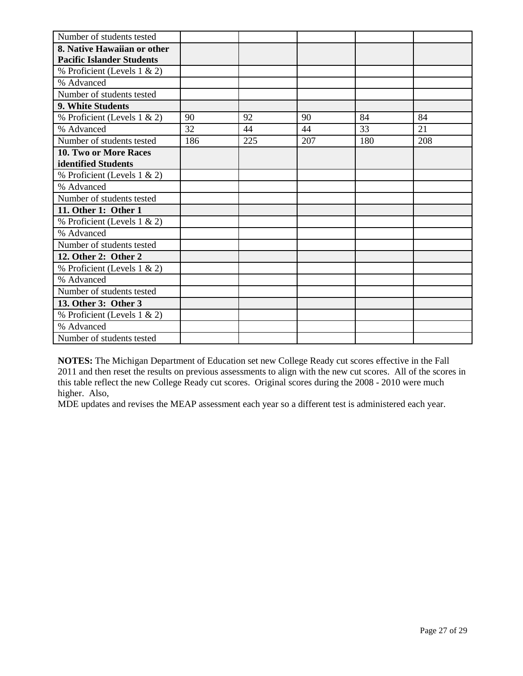| Number of students tested        |     |     |     |     |     |
|----------------------------------|-----|-----|-----|-----|-----|
| 8. Native Hawaiian or other      |     |     |     |     |     |
| <b>Pacific Islander Students</b> |     |     |     |     |     |
| % Proficient (Levels 1 & 2)      |     |     |     |     |     |
| % Advanced                       |     |     |     |     |     |
| Number of students tested        |     |     |     |     |     |
| 9. White Students                |     |     |     |     |     |
| % Proficient (Levels 1 & 2)      | 90  | 92  | 90  | 84  | 84  |
| % Advanced                       | 32  | 44  | 44  | 33  | 21  |
| Number of students tested        | 186 | 225 | 207 | 180 | 208 |
| <b>10. Two or More Races</b>     |     |     |     |     |     |
| identified Students              |     |     |     |     |     |
| % Proficient (Levels 1 & 2)      |     |     |     |     |     |
| % Advanced                       |     |     |     |     |     |
| Number of students tested        |     |     |     |     |     |
| 11. Other 1: Other 1             |     |     |     |     |     |
| % Proficient (Levels 1 & 2)      |     |     |     |     |     |
| % Advanced                       |     |     |     |     |     |
| Number of students tested        |     |     |     |     |     |
| 12. Other 2: Other 2             |     |     |     |     |     |
| % Proficient (Levels 1 & 2)      |     |     |     |     |     |
| % Advanced                       |     |     |     |     |     |
| Number of students tested        |     |     |     |     |     |
| 13. Other 3: Other 3             |     |     |     |     |     |
| % Proficient (Levels 1 & 2)      |     |     |     |     |     |
| % Advanced                       |     |     |     |     |     |
| Number of students tested        |     |     |     |     |     |

**NOTES:** The Michigan Department of Education set new College Ready cut scores effective in the Fall 2011 and then reset the results on previous assessments to align with the new cut scores. All of the scores in this table reflect the new College Ready cut scores. Original scores during the 2008 - 2010 were much higher. Also,

MDE updates and revises the MEAP assessment each year so a different test is administered each year.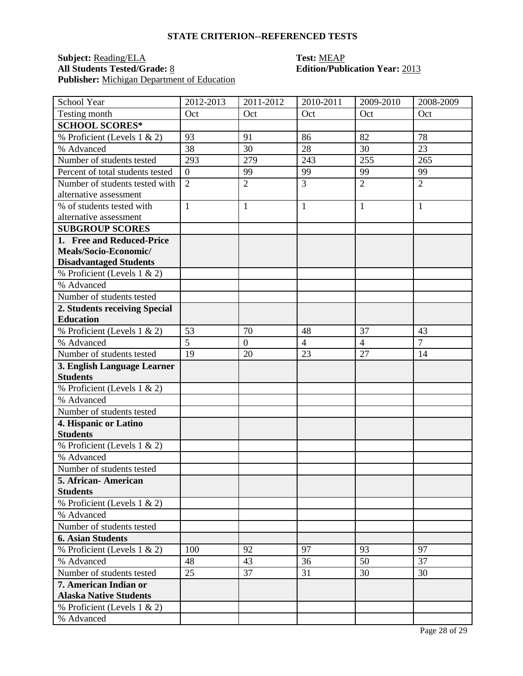# **Subject:** <u>Reading/ELA</u> **Test:** <u>MEAP</u><br> **All Students Tested/Grade:** <u>8</u> **Call Edition/Publ Publisher:** <u>Michigan Department of Education</u>

# **All Students Tested/Grade:** 8 **Edition/Publication Year:** 2013

| School Year                               | 2012-2013        | $2011 - 2012$    | 2010-2011      | 2009-2010      | 2008-2009      |
|-------------------------------------------|------------------|------------------|----------------|----------------|----------------|
| Testing month                             | Oct              | Oct              | Oct            | Oct            | Oct            |
| <b>SCHOOL SCORES*</b>                     |                  |                  |                |                |                |
| $\overline{\%}$ Proficient (Levels 1 & 2) | 93               | 91               | 86             | 82             | 78             |
| % Advanced                                | 38               | 30               | 28             | 30             | 23             |
| Number of students tested                 | 293              | 279              | 243            | 255            | 265            |
| Percent of total students tested          | $\boldsymbol{0}$ | 99               | 99             | 99             | 99             |
| Number of students tested with            | $\overline{2}$   | $\overline{2}$   | 3              | $\overline{2}$ | $\overline{2}$ |
| alternative assessment                    |                  |                  |                |                |                |
| % of students tested with                 | $\mathbf{1}$     | 1                | $\mathbf{1}$   | $\mathbf{1}$   | 1              |
| alternative assessment                    |                  |                  |                |                |                |
| <b>SUBGROUP SCORES</b>                    |                  |                  |                |                |                |
| 1. Free and Reduced-Price                 |                  |                  |                |                |                |
| Meals/Socio-Economic/                     |                  |                  |                |                |                |
| <b>Disadvantaged Students</b>             |                  |                  |                |                |                |
| % Proficient (Levels 1 & 2)               |                  |                  |                |                |                |
| % Advanced                                |                  |                  |                |                |                |
| Number of students tested                 |                  |                  |                |                |                |
| 2. Students receiving Special             |                  |                  |                |                |                |
| <b>Education</b>                          |                  |                  |                |                |                |
| % Proficient (Levels 1 & 2)               | 53               | 70               | 48             | 37             | 43             |
| % Advanced                                | $\overline{5}$   | $\boldsymbol{0}$ | $\overline{4}$ | $\overline{4}$ | $\overline{7}$ |
| Number of students tested                 | 19               | 20               | 23             | 27             | 14             |
| 3. English Language Learner               |                  |                  |                |                |                |
| <b>Students</b>                           |                  |                  |                |                |                |
| % Proficient (Levels 1 & 2)               |                  |                  |                |                |                |
| % Advanced                                |                  |                  |                |                |                |
| Number of students tested                 |                  |                  |                |                |                |
| 4. Hispanic or Latino                     |                  |                  |                |                |                |
| <b>Students</b>                           |                  |                  |                |                |                |
| % Proficient (Levels 1 & 2)               |                  |                  |                |                |                |
| % Advanced                                |                  |                  |                |                |                |
| Number of students tested                 |                  |                  |                |                |                |
| 5. African- American                      |                  |                  |                |                |                |
| <b>Students</b>                           |                  |                  |                |                |                |
| % Proficient (Levels 1 & 2)               |                  |                  |                |                |                |
| % Advanced                                |                  |                  |                |                |                |
| Number of students tested                 |                  |                  |                |                |                |
| <b>6. Asian Students</b>                  |                  |                  |                |                |                |
| % Proficient (Levels 1 & 2)               | 100              | 92               | 97             | 93             | 97             |
| % Advanced                                | 48               | 43               | 36             | 50             | 37             |
| Number of students tested                 | 25               | 37               | 31             | 30             | 30             |
| 7. American Indian or                     |                  |                  |                |                |                |
| <b>Alaska Native Students</b>             |                  |                  |                |                |                |
| % Proficient (Levels 1 & 2)               |                  |                  |                |                |                |
| % Advanced                                |                  |                  |                |                |                |